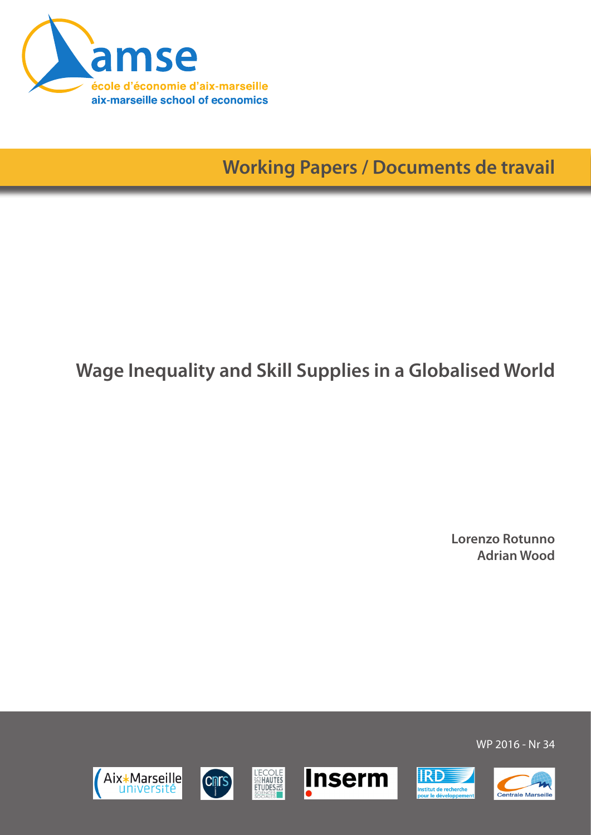

**Working Papers / Documents de travail**

# **Wage Inequality and Skill Supplies in a Globalised World**

**Lorenzo Rotunno Adrian Wood**

WP 2016 - Nr 34







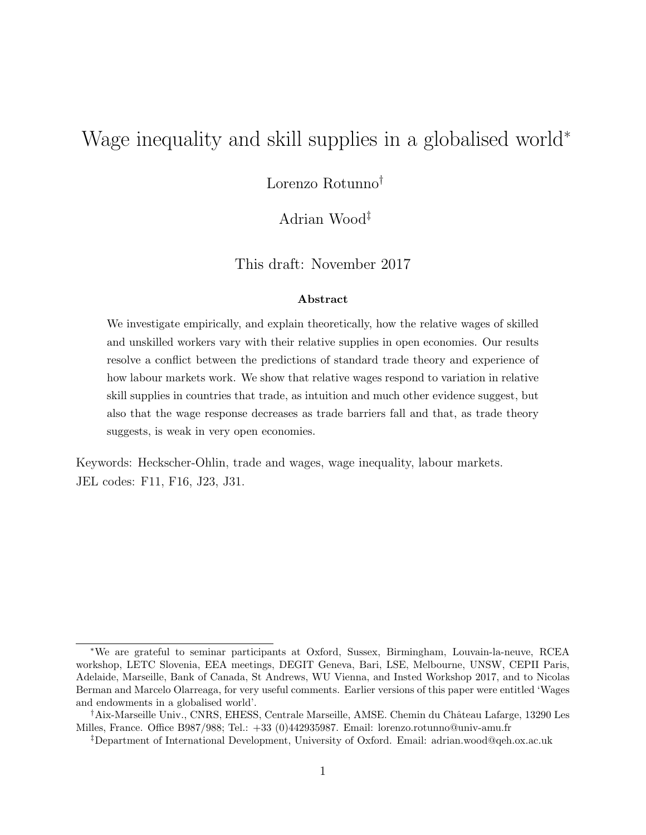# Wage inequality and skill supplies in a globalised world<sup>∗</sup>

Lorenzo Rotunno†

Adrian Wood‡

This draft: November 2017

#### Abstract

We investigate empirically, and explain theoretically, how the relative wages of skilled and unskilled workers vary with their relative supplies in open economies. Our results resolve a conflict between the predictions of standard trade theory and experience of how labour markets work. We show that relative wages respond to variation in relative skill supplies in countries that trade, as intuition and much other evidence suggest, but also that the wage response decreases as trade barriers fall and that, as trade theory suggests, is weak in very open economies.

Keywords: Heckscher-Ohlin, trade and wages, wage inequality, labour markets. JEL codes: F11, F16, J23, J31.

<sup>∗</sup>We are grateful to seminar participants at Oxford, Sussex, Birmingham, Louvain-la-neuve, RCEA workshop, LETC Slovenia, EEA meetings, DEGIT Geneva, Bari, LSE, Melbourne, UNSW, CEPII Paris, Adelaide, Marseille, Bank of Canada, St Andrews, WU Vienna, and Insted Workshop 2017, and to Nicolas Berman and Marcelo Olarreaga, for very useful comments. Earlier versions of this paper were entitled 'Wages and endowments in a globalised world'.

<sup>†</sup>Aix-Marseille Univ., CNRS, EHESS, Centrale Marseille, AMSE. Chemin du Château Lafarge, 13290 Les Milles, France. Office B987/988; Tel.: +33 (0)442935987. Email: lorenzo.rotunno@univ-amu.fr

<sup>‡</sup>Department of International Development, University of Oxford. Email: adrian.wood@qeh.ox.ac.uk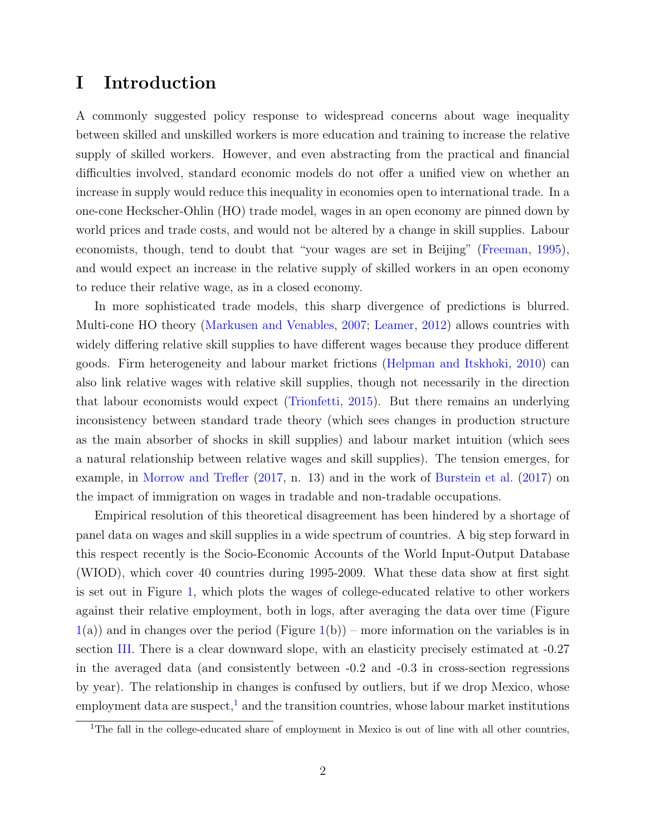### I Introduction

A commonly suggested policy response to widespread concerns about wage inequality between skilled and unskilled workers is more education and training to increase the relative supply of skilled workers. However, and even abstracting from the practical and financial difficulties involved, standard economic models do not offer a unified view on whether an increase in supply would reduce this inequality in economies open to international trade. In a one-cone Heckscher-Ohlin (HO) trade model, wages in an open economy are pinned down by world prices and trade costs, and would not be altered by a change in skill supplies. Labour economists, though, tend to doubt that "your wages are set in Beijing" [\(Freeman,](#page-41-0) [1995\)](#page-41-0), and would expect an increase in the relative supply of skilled workers in an open economy to reduce their relative wage, as in a closed economy.

In more sophisticated trade models, this sharp divergence of predictions is blurred. Multi-cone HO theory [\(Markusen and Venables,](#page-43-0) [2007;](#page-43-0) [Leamer,](#page-42-0) [2012\)](#page-42-0) allows countries with widely differing relative skill supplies to have different wages because they produce different goods. Firm heterogeneity and labour market frictions [\(Helpman and Itskhoki,](#page-42-1) [2010\)](#page-42-1) can also link relative wages with relative skill supplies, though not necessarily in the direction that labour economists would expect [\(Trionfetti,](#page-44-0) [2015\)](#page-44-0). But there remains an underlying inconsistency between standard trade theory (which sees changes in production structure as the main absorber of shocks in skill supplies) and labour market intuition (which sees a natural relationship between relative wages and skill supplies). The tension emerges, for example, in [Morrow and Trefler](#page-43-1) [\(2017,](#page-43-1) n. 13) and in the work of [Burstein et al.](#page-40-0) [\(2017\)](#page-40-0) on the impact of immigration on wages in tradable and non-tradable occupations.

Empirical resolution of this theoretical disagreement has been hindered by a shortage of panel data on wages and skill supplies in a wide spectrum of countries. A big step forward in this respect recently is the Socio-Economic Accounts of the World Input-Output Database (WIOD), which cover 40 countries during 1995-2009. What these data show at first sight is set out in Figure [1,](#page-3-0) which plots the wages of college-educated relative to other workers against their relative employment, both in logs, after averaging the data over time (Figure  $1(a)$  $1(a)$ ) and in changes over the period (Figure  $1(b)$ ) – more information on the variables is in section [III.](#page-16-0) There is a clear downward slope, with an elasticity precisely estimated at -0.27 in the averaged data (and consistently between -0.2 and -0.3 in cross-section regressions by year). The relationship in changes is confused by outliers, but if we drop Mexico, whose employment data are suspect, $\frac{1}{1}$  $\frac{1}{1}$  $\frac{1}{1}$  and the transition countries, whose labour market institutions

<span id="page-2-0"></span><sup>&</sup>lt;sup>1</sup>The fall in the college-educated share of employment in Mexico is out of line with all other countries,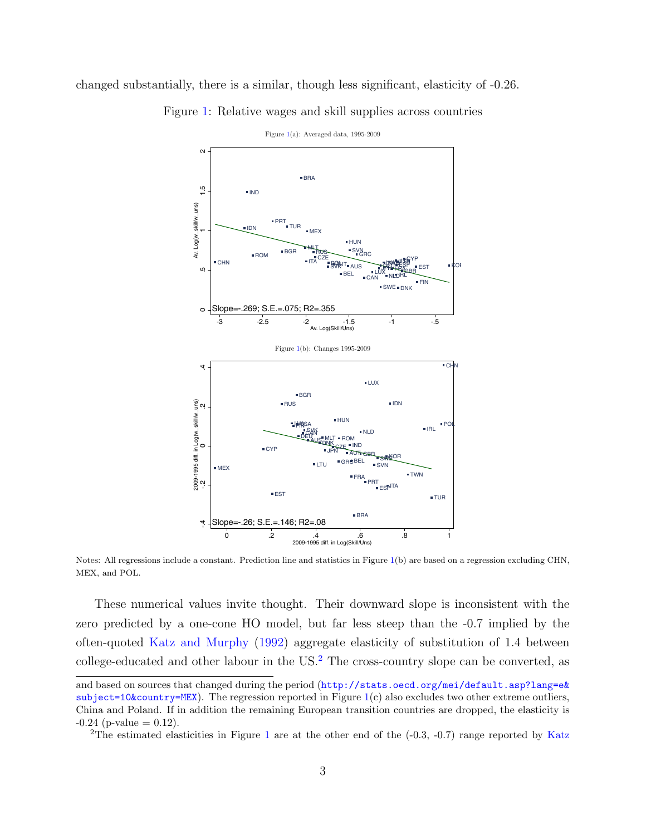<span id="page-3-0"></span>changed substantially, there is a similar, though less significant, elasticity of -0.26.



Figure [1:](#page-3-0) Relative wages and skill supplies across countries

Notes: All regressions include a constant. Prediction line and statistics in Figure [1\(](#page-3-0)b) are based on a regression excluding CHN, MEX, and POL.

These numerical values invite thought. Their downward slope is inconsistent with the zero predicted by a one-cone HO model, but far less steep than the -0.7 implied by the often-quoted [Katz and Murphy](#page-42-2) [\(1992\)](#page-42-2) aggregate elasticity of substitution of 1.4 between college-educated and other labour in the US. $<sup>2</sup>$  $<sup>2</sup>$  $<sup>2</sup>$  The cross-country slope can be converted, as</sup>

and based on sources that changed during the period ([http://stats.oecd.org/mei/default.asp?lang=e&](http://stats.oecd.org/mei/default.asp?lang=e&subject=10&country=MEX)  $subject = 10$ &country=MEX). The regression reported in Figure [1\(](#page-3-0)c) also excludes two other extreme outliers, China and Poland. If in addition the remaining European transition countries are dropped, the elasticity is  $-0.24$  (p-value  $= 0.12$ ).

<span id="page-3-1"></span><sup>&</sup>lt;sup>2</sup>The estimated elasticities in Figure [1](#page-3-0) are at the other end of the  $(-0.3, -0.7)$  range reported by [Katz](#page-42-3)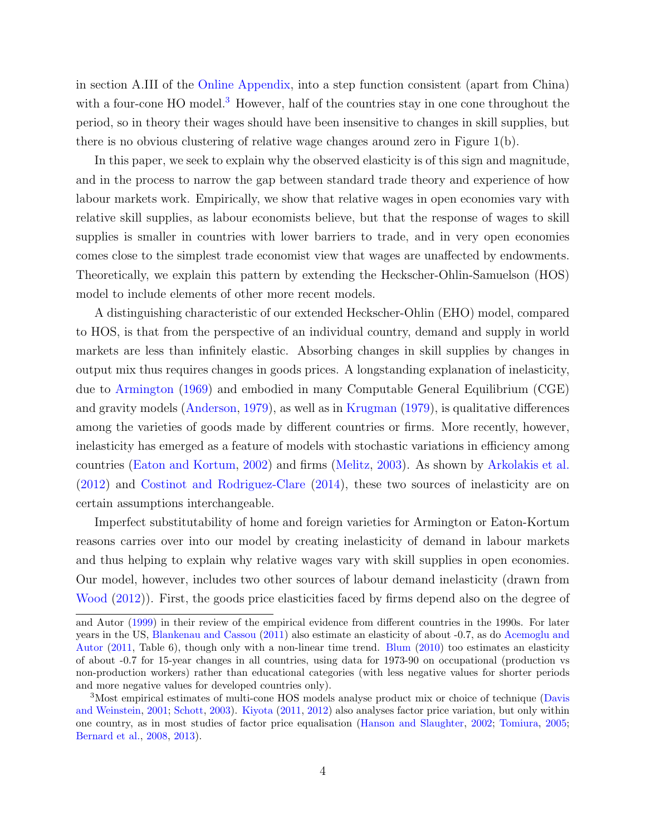in section A.III of the [Online Appendix, into a step function consistent \(apart from China\)](#page-42-3) with a four-cone HO model.<sup>[3](#page-4-0)</sup> [However, half of the countries stay in one cone throughout the](#page-42-3) [period, so in theory their wages should have been insensitive to changes in skill supplies, but](#page-42-3) [there is no obvious clustering of relative wage changes around zero in Figure 1\(b\).](#page-42-3)

[In this paper, we seek to explain why the observed elasticity is of this sign and magnitude,](#page-42-3) [and in the process to narrow the gap between standard trade theory and experience of how](#page-42-3) [labour markets work. Empirically, we show that relative wages in open economies vary with](#page-42-3) [relative skill supplies, as labour economists believe, but that the response of wages to skill](#page-42-3) [supplies is smaller in countries with lower barriers to trade, and in very open economies](#page-42-3) [comes close to the simplest trade economist view that wages are unaffected by endowments.](#page-42-3) [Theoretically, we explain this pattern by extending the Heckscher-Ohlin-Samuelson \(HOS\)](#page-42-3) [model to include elements of other more recent models.](#page-42-3)

[A distinguishing characteristic of our extended Heckscher-Ohlin \(EHO\) model, compared](#page-42-3) [to HOS, is that from the perspective of an individual country, demand and supply in world](#page-42-3) [markets are less than infinitely elastic. Absorbing changes in skill supplies by changes in](#page-42-3) [output mix thus requires changes in goods prices. A longstanding explanation of inelasticity,](#page-42-3) due to [Armington](#page-39-0) [\(1969\) and embodied in many Computable General Equilibrium \(CGE\)](#page-42-3) and gravity models [\(Anderson,](#page-39-1) [1979\)](#page-39-1), as well as in [Krugman](#page-42-4) [\(1979\), is qualitative differences](#page-42-3) [among the varieties of goods made by different countries or firms. More recently, however,](#page-42-3) [inelasticity has emerged as a feature of models with stochastic variations in efficiency among](#page-42-3) [countries \(Eaton and Kortum,](#page-42-3) [2002\)](#page-41-1) and firms [\(Melitz,](#page-43-2) [2003\)](#page-43-2). As shown by [Arkolakis et al.](#page-39-2) [\(2012\)](#page-39-2) and [Costinot and Rodriguez-Clare](#page-41-2) [\(2014\), these two sources of inelasticity are on](#page-42-3) [certain assumptions interchangeable.](#page-42-3)

[Imperfect substitutability of home and foreign varieties for Armington or Eaton-Kortum](#page-42-3) [reasons carries over into our model by creating inelasticity of demand in labour markets](#page-42-3) [and thus helping to explain why relative wages vary with skill supplies in open economies.](#page-42-3) [Our model, however, includes two other sources of labour demand inelasticity \(drawn from](#page-42-3) [Wood](#page-45-0) [\(2012\)\). First, the goods price elasticities faced by firms depend also on the degree of](#page-42-3)

[and Autor](#page-42-3) [\(1999\)](#page-42-3) in their review of the empirical evidence from different countries in the 1990s. For later years in the US, [Blankenau and Cassou](#page-40-1) [\(2011\)](#page-40-1) also estimate an elasticity of about -0.7, as do [Acemoglu and](#page-39-3) [Autor](#page-39-3) [\(2011,](#page-39-3) Table 6), though only with a non-linear time trend. [Blum](#page-40-2) [\(2010\)](#page-40-2) too estimates an elasticity of about -0.7 for 15-year changes in all countries, using data for 1973-90 on occupational (production vs non-production workers) rather than educational categories (with less negative values for shorter periods and more negative values for developed countries only).

<span id="page-4-0"></span><sup>3</sup>Most empirical estimates of multi-cone HOS models analyse product mix or choice of technique [\(Davis](#page-41-3) [and Weinstein,](#page-41-3) [2001;](#page-41-3) [Schott,](#page-44-1) [2003\)](#page-44-1). [Kiyota](#page-42-5) [\(2011,](#page-42-5) [2012\)](#page-42-6) also analyses factor price variation, but only within one country, as in most studies of factor price equalisation [\(Hanson and Slaughter,](#page-41-4) [2002;](#page-41-4) [Tomiura,](#page-44-2) [2005;](#page-44-2) [Bernard et al.,](#page-40-3) [2008,](#page-40-3) [2013\)](#page-40-4).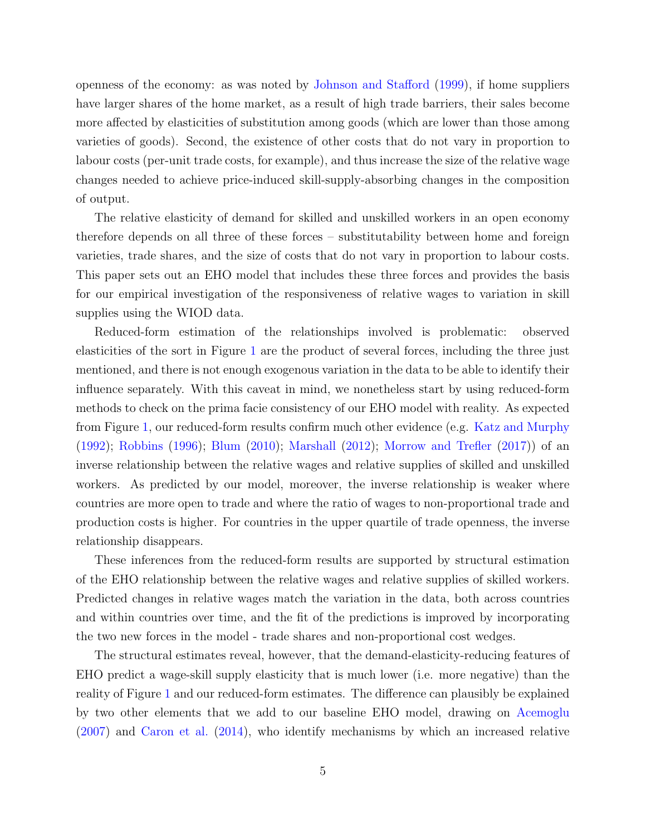openness of the economy: as was noted by [Johnson and Stafford](#page-42-7) [\(1999\)](#page-42-7), if home suppliers have larger shares of the home market, as a result of high trade barriers, their sales become more affected by elasticities of substitution among goods (which are lower than those among varieties of goods). Second, the existence of other costs that do not vary in proportion to labour costs (per-unit trade costs, for example), and thus increase the size of the relative wage changes needed to achieve price-induced skill-supply-absorbing changes in the composition of output.

The relative elasticity of demand for skilled and unskilled workers in an open economy therefore depends on all three of these forces – substitutability between home and foreign varieties, trade shares, and the size of costs that do not vary in proportion to labour costs. This paper sets out an EHO model that includes these three forces and provides the basis for our empirical investigation of the responsiveness of relative wages to variation in skill supplies using the WIOD data.

Reduced-form estimation of the relationships involved is problematic: observed elasticities of the sort in Figure [1](#page-3-0) are the product of several forces, including the three just mentioned, and there is not enough exogenous variation in the data to be able to identify their influence separately. With this caveat in mind, we nonetheless start by using reduced-form methods to check on the prima facie consistency of our EHO model with reality. As expected from Figure [1,](#page-3-0) our reduced-form results confirm much other evidence (e.g. [Katz and Murphy](#page-42-2) [\(1992\)](#page-42-2); [Robbins](#page-43-3) [\(1996\)](#page-43-3); [Blum](#page-40-2) [\(2010\)](#page-40-2); [Marshall](#page-43-4) [\(2012\)](#page-43-4); [Morrow and Trefler](#page-43-1) [\(2017\)](#page-43-1)) of an inverse relationship between the relative wages and relative supplies of skilled and unskilled workers. As predicted by our model, moreover, the inverse relationship is weaker where countries are more open to trade and where the ratio of wages to non-proportional trade and production costs is higher. For countries in the upper quartile of trade openness, the inverse relationship disappears.

These inferences from the reduced-form results are supported by structural estimation of the EHO relationship between the relative wages and relative supplies of skilled workers. Predicted changes in relative wages match the variation in the data, both across countries and within countries over time, and the fit of the predictions is improved by incorporating the two new forces in the model - trade shares and non-proportional cost wedges.

The structural estimates reveal, however, that the demand-elasticity-reducing features of EHO predict a wage-skill supply elasticity that is much lower (i.e. more negative) than the reality of Figure [1](#page-3-0) and our reduced-form estimates. The difference can plausibly be explained by two other elements that we add to our baseline EHO model, drawing on [Acemoglu](#page-39-4) [\(2007\)](#page-39-4) and [Caron et al.](#page-40-5) [\(2014\)](#page-40-5), who identify mechanisms by which an increased relative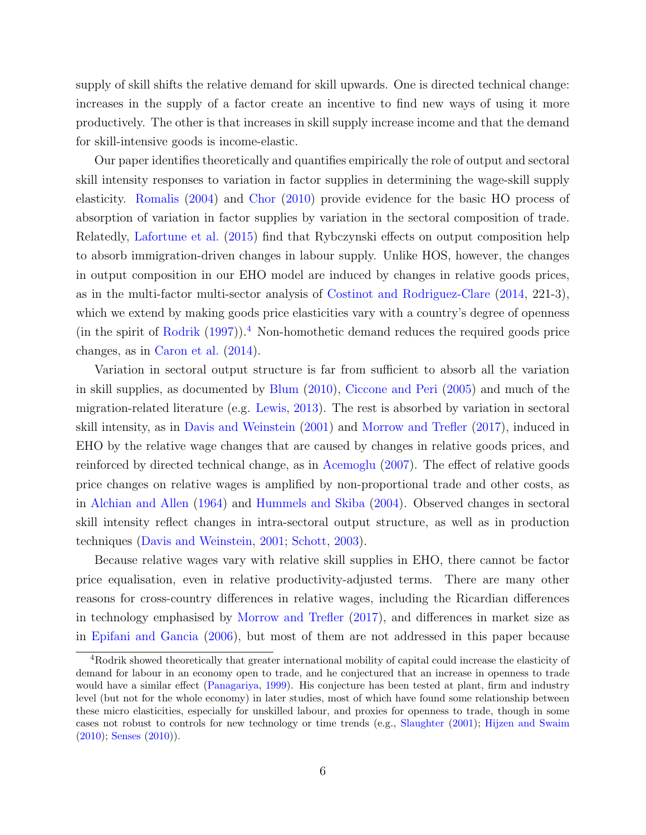supply of skill shifts the relative demand for skill upwards. One is directed technical change: increases in the supply of a factor create an incentive to find new ways of using it more productively. The other is that increases in skill supply increase income and that the demand for skill-intensive goods is income-elastic.

Our paper identifies theoretically and quantifies empirically the role of output and sectoral skill intensity responses to variation in factor supplies in determining the wage-skill supply elasticity. [Romalis](#page-44-3) [\(2004\)](#page-44-3) and [Chor](#page-40-6) [\(2010\)](#page-40-6) provide evidence for the basic HO process of absorption of variation in factor supplies by variation in the sectoral composition of trade. Relatedly, [Lafortune et al.](#page-42-8) [\(2015\)](#page-42-8) find that Rybczynski effects on output composition help to absorb immigration-driven changes in labour supply. Unlike HOS, however, the changes in output composition in our EHO model are induced by changes in relative goods prices, as in the multi-factor multi-sector analysis of [Costinot and Rodriguez-Clare](#page-41-2) [\(2014,](#page-41-2) 221-3), which we extend by making goods price elasticities vary with a country's degree of openness (in the spirit of [Rodrik](#page-43-5)  $(1997)$ ).<sup>[4](#page-6-0)</sup> Non-homothetic demand reduces the required goods price changes, as in [Caron et al.](#page-40-5) [\(2014\)](#page-40-5).

Variation in sectoral output structure is far from sufficient to absorb all the variation in skill supplies, as documented by [Blum](#page-40-2) [\(2010\)](#page-40-2), [Ciccone and Peri](#page-41-5) [\(2005\)](#page-41-5) and much of the migration-related literature (e.g. [Lewis,](#page-43-6) [2013\)](#page-43-6). The rest is absorbed by variation in sectoral skill intensity, as in [Davis and Weinstein](#page-41-3) [\(2001\)](#page-41-3) and [Morrow and Trefler](#page-43-1) [\(2017\)](#page-43-1), induced in EHO by the relative wage changes that are caused by changes in relative goods prices, and reinforced by directed technical change, as in [Acemoglu](#page-39-4) [\(2007\)](#page-39-4). The effect of relative goods price changes on relative wages is amplified by non-proportional trade and other costs, as in [Alchian and Allen](#page-39-5) [\(1964\)](#page-39-5) and [Hummels and Skiba](#page-42-9) [\(2004\)](#page-42-9). Observed changes in sectoral skill intensity reflect changes in intra-sectoral output structure, as well as in production techniques [\(Davis and Weinstein,](#page-41-3) [2001;](#page-41-3) [Schott,](#page-44-1) [2003\)](#page-44-1).

Because relative wages vary with relative skill supplies in EHO, there cannot be factor price equalisation, even in relative productivity-adjusted terms. There are many other reasons for cross-country differences in relative wages, including the Ricardian differences in technology emphasised by [Morrow and Trefler](#page-43-1) [\(2017\)](#page-43-1), and differences in market size as in [Epifani and Gancia](#page-41-6) [\(2006\)](#page-41-6), but most of them are not addressed in this paper because

<span id="page-6-0"></span><sup>4</sup>Rodrik showed theoretically that greater international mobility of capital could increase the elasticity of demand for labour in an economy open to trade, and he conjectured that an increase in openness to trade would have a similar effect [\(Panagariya,](#page-43-7) [1999\)](#page-43-7). His conjecture has been tested at plant, firm and industry level (but not for the whole economy) in later studies, most of which have found some relationship between these micro elasticities, especially for unskilled labour, and proxies for openness to trade, though in some cases not robust to controls for new technology or time trends (e.g., [Slaughter](#page-44-4) [\(2001\)](#page-44-4); [Hijzen and Swaim](#page-42-10)  $(2010)$ ; [Senses](#page-44-5)  $(2010)$ ).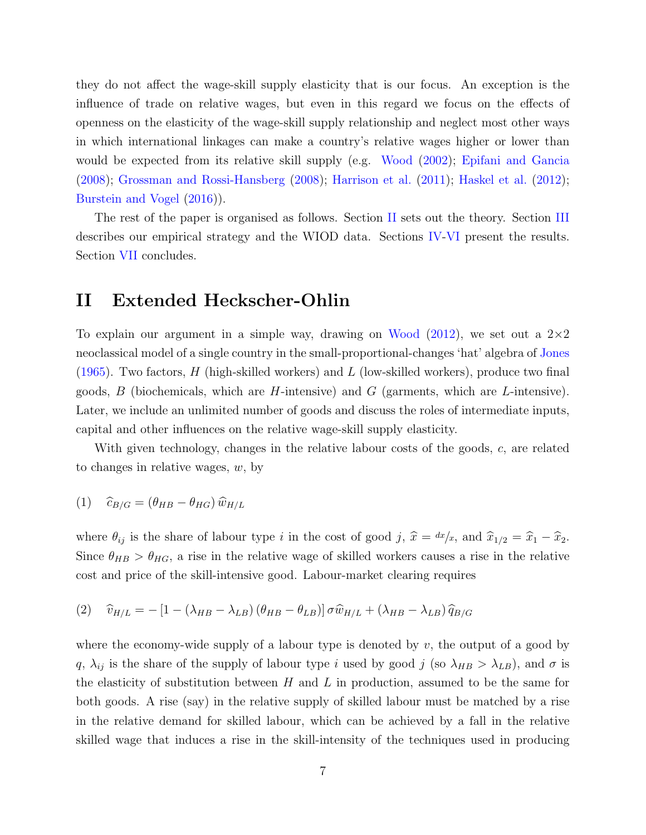they do not affect the wage-skill supply elasticity that is our focus. An exception is the influence of trade on relative wages, but even in this regard we focus on the effects of openness on the elasticity of the wage-skill supply relationship and neglect most other ways in which international linkages can make a country's relative wages higher or lower than would be expected from its relative skill supply (e.g. [Wood](#page-44-6) [\(2002\)](#page-44-6); [Epifani and Gancia](#page-41-7) [\(2008\)](#page-41-7); [Grossman and Rossi-Hansberg](#page-41-8) [\(2008\)](#page-41-8); [Harrison et al.](#page-41-9) [\(2011\)](#page-41-9); [Haskel et al.](#page-42-11) [\(2012\)](#page-42-11); [Burstein and Vogel](#page-40-7) [\(2016\)](#page-40-7)).

The rest of the paper is organised as follows. Section [II](#page-7-0) sets out the theory. Section [III](#page-16-0) describes our empirical strategy and the WIOD data. Sections [IV-](#page-18-0)[VI](#page-33-0) present the results. Section [VII](#page-37-0) concludes.

### <span id="page-7-0"></span>II Extended Heckscher-Ohlin

To explain our argument in a simple way, drawing on [Wood](#page-45-0)  $(2012)$ , we set out a  $2\times 2$ neoclassical model of a single country in the small-proportional-changes 'hat' algebra of [Jones](#page-42-12) [\(1965\)](#page-42-12). Two factors,  $H$  (high-skilled workers) and  $L$  (low-skilled workers), produce two final goods, B (biochemicals, which are H-intensive) and G (garments, which are L-intensive). Later, we include an unlimited number of goods and discuss the roles of intermediate inputs, capital and other influences on the relative wage-skill supply elasticity.

<span id="page-7-2"></span>With given technology, changes in the relative labour costs of the goods, c, are related to changes in relative wages,  $w$ , by

$$
(1) \quad \widehat{c}_{B/G} = (\theta_{HB} - \theta_{HG}) \widehat{w}_{H/L}
$$

<span id="page-7-1"></span>where  $\theta_{ij}$  is the share of labour type i in the cost of good j,  $\hat{x} = dx/x$ , and  $\hat{x}_{1/2} = \hat{x}_1 - \hat{x}_2$ . Since  $\theta_{HB} > \theta_{HG}$ , a rise in the relative wage of skilled workers causes a rise in the relative cost and price of the skill-intensive good. Labour-market clearing requires

(2) 
$$
\hat{v}_{H/L} = -\left[1 - (\lambda_{HB} - \lambda_{LB})(\theta_{HB} - \theta_{LB})\right] \sigma \hat{w}_{H/L} + (\lambda_{HB} - \lambda_{LB}) \hat{q}_{B/G}
$$

where the economy-wide supply of a labour type is denoted by  $v$ , the output of a good by q,  $\lambda_{ij}$  is the share of the supply of labour type i used by good j (so  $\lambda_{HB} > \lambda_{LB}$ ), and  $\sigma$  is the elasticity of substitution between  $H$  and  $L$  in production, assumed to be the same for both goods. A rise (say) in the relative supply of skilled labour must be matched by a rise in the relative demand for skilled labour, which can be achieved by a fall in the relative skilled wage that induces a rise in the skill-intensity of the techniques used in producing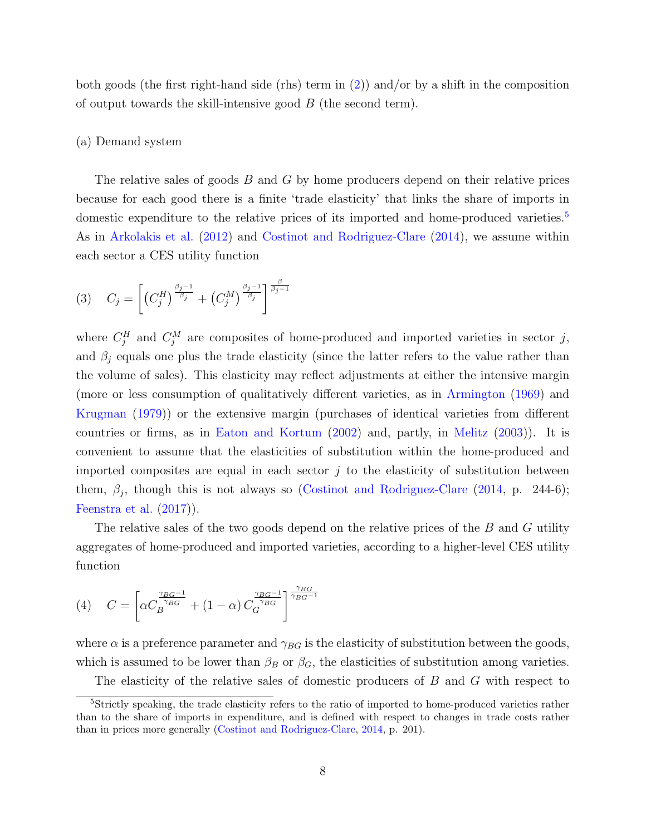both goods (the first right-hand side (rhs) term in  $(2)$ ) and/or by a shift in the composition of output towards the skill-intensive good  $B$  (the second term).

#### (a) Demand system

The relative sales of goods B and G by home producers depend on their relative prices because for each good there is a finite 'trade elasticity' that links the share of imports in domestic expenditure to the relative prices of its imported and home-produced varieties.<sup>[5](#page-8-0)</sup> As in [Arkolakis et al.](#page-39-2) [\(2012\)](#page-39-2) and [Costinot and Rodriguez-Clare](#page-41-2) [\(2014\)](#page-41-2), we assume within each sector a CES utility function

<span id="page-8-1"></span>
$$
(3) \quad C_j = \left[ \left( C_j^H \right)^{\frac{\beta_j - 1}{\beta_j}} + \left( C_j^M \right)^{\frac{\beta_j - 1}{\beta_j}} \right]^{\frac{\beta}{\beta_j - 1}}
$$

where  $C_j^H$  and  $C_j^M$  are composites of home-produced and imported varieties in sector j, and  $\beta_j$  equals one plus the trade elasticity (since the latter refers to the value rather than the volume of sales). This elasticity may reflect adjustments at either the intensive margin (more or less consumption of qualitatively different varieties, as in [Armington](#page-39-0) [\(1969\)](#page-39-0) and [Krugman](#page-42-4) [\(1979\)](#page-42-4)) or the extensive margin (purchases of identical varieties from different countries or firms, as in [Eaton and Kortum](#page-41-1) [\(2002\)](#page-41-1) and, partly, in [Melitz](#page-43-2) [\(2003\)](#page-43-2)). It is convenient to assume that the elasticities of substitution within the home-produced and imported composites are equal in each sector  $j$  to the elasticity of substitution between them,  $\beta_j$ , though this is not always so [\(Costinot and Rodriguez-Clare](#page-41-2) [\(2014,](#page-41-2) p. 244-6); [Feenstra et al.](#page-41-10) [\(2017\)](#page-41-10)).

<span id="page-8-2"></span>The relative sales of the two goods depend on the relative prices of the B and G utility aggregates of home-produced and imported varieties, according to a higher-level CES utility function

(4) 
$$
C = \left[ \alpha C_B^{\frac{\gamma_{BG}-1}{\gamma_{BG}}} + (1-\alpha) C_G^{\frac{\gamma_{BG}-1}{\gamma_{BG}}} \right]^{\frac{\gamma_{BG}}{\gamma_{BG}-1}}
$$

where  $\alpha$  is a preference parameter and  $\gamma_{BG}$  is the elasticity of substitution between the goods, which is assumed to be lower than  $\beta_B$  or  $\beta_G$ , the elasticities of substitution among varieties.

<span id="page-8-0"></span>The elasticity of the relative sales of domestic producers of B and G with respect to

<sup>5</sup>Strictly speaking, the trade elasticity refers to the ratio of imported to home-produced varieties rather than to the share of imports in expenditure, and is defined with respect to changes in trade costs rather than in prices more generally [\(Costinot and Rodriguez-Clare,](#page-41-2) [2014,](#page-41-2) p. 201).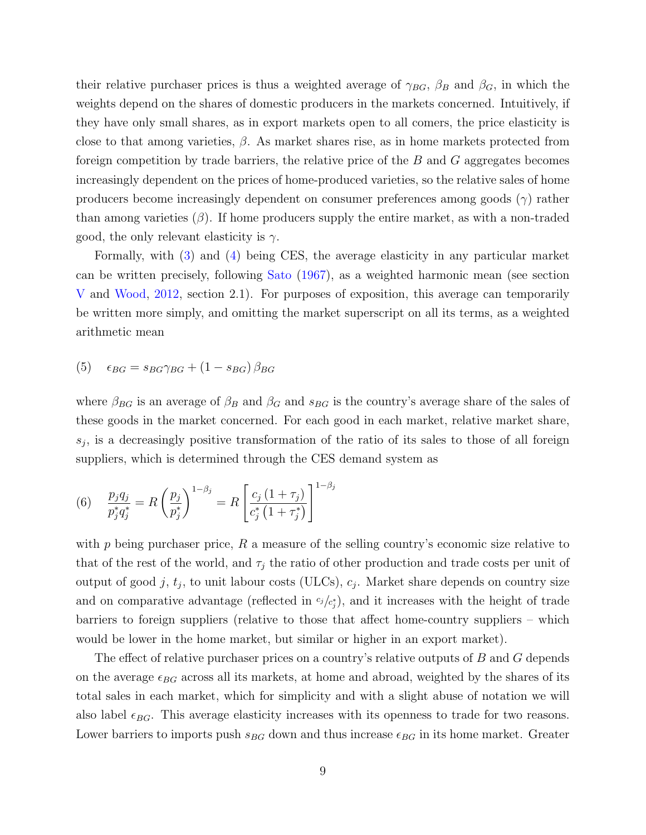their relative purchaser prices is thus a weighted average of  $\gamma_{BG}$ ,  $\beta_B$  and  $\beta_G$ , in which the weights depend on the shares of domestic producers in the markets concerned. Intuitively, if they have only small shares, as in export markets open to all comers, the price elasticity is close to that among varieties,  $\beta$ . As market shares rise, as in home markets protected from foreign competition by trade barriers, the relative price of the B and G aggregates becomes increasingly dependent on the prices of home-produced varieties, so the relative sales of home producers become increasingly dependent on consumer preferences among goods  $(\gamma)$  rather than among varieties  $(\beta)$ . If home producers supply the entire market, as with a non-traded good, the only relevant elasticity is  $\gamma$ .

Formally, with [\(3\)](#page-8-1) and [\(4\)](#page-8-2) being CES, the average elasticity in any particular market can be written precisely, following [Sato](#page-44-7) [\(1967\)](#page-44-7), as a weighted harmonic mean (see section [V](#page-25-0) and [Wood,](#page-45-0) [2012,](#page-45-0) section 2.1). For purposes of exposition, this average can temporarily be written more simply, and omitting the market superscript on all its terms, as a weighted arithmetic mean

<span id="page-9-0"></span>(5)  $\epsilon_{BG} = s_{BG}\gamma_{BG} + (1 - s_{BG})\beta_{BG}$ 

where  $\beta_{BG}$  is an average of  $\beta_B$  and  $\beta_G$  and  $s_{BG}$  is the country's average share of the sales of these goods in the market concerned. For each good in each market, relative market share,  $s_j$ , is a decreasingly positive transformation of the ratio of its sales to those of all foreign suppliers, which is determined through the CES demand system as

(6) 
$$
\frac{p_j q_j}{p_j^* q_j^*} = R \left( \frac{p_j}{p_j^*} \right)^{1 - \beta_j} = R \left[ \frac{c_j (1 + \tau_j)}{c_j^* (1 + \tau_j^*)} \right]^{1 - \beta_j}
$$

with  $p$  being purchaser price,  $R$  a measure of the selling country's economic size relative to that of the rest of the world, and  $\tau_j$  the ratio of other production and trade costs per unit of output of good j,  $t_j$ , to unit labour costs (ULCs),  $c_j$ . Market share depends on country size and on comparative advantage (reflected in  $c_j/c_j$ ), and it increases with the height of trade barriers to foreign suppliers (relative to those that affect home-country suppliers – which would be lower in the home market, but similar or higher in an export market).

The effect of relative purchaser prices on a country's relative outputs of B and G depends on the average  $\epsilon_{BG}$  across all its markets, at home and abroad, weighted by the shares of its total sales in each market, which for simplicity and with a slight abuse of notation we will also label  $\epsilon_{BG}$ . This average elasticity increases with its openness to trade for two reasons. Lower barriers to imports push  $s_{BG}$  down and thus increase  $\epsilon_{BG}$  in its home market. Greater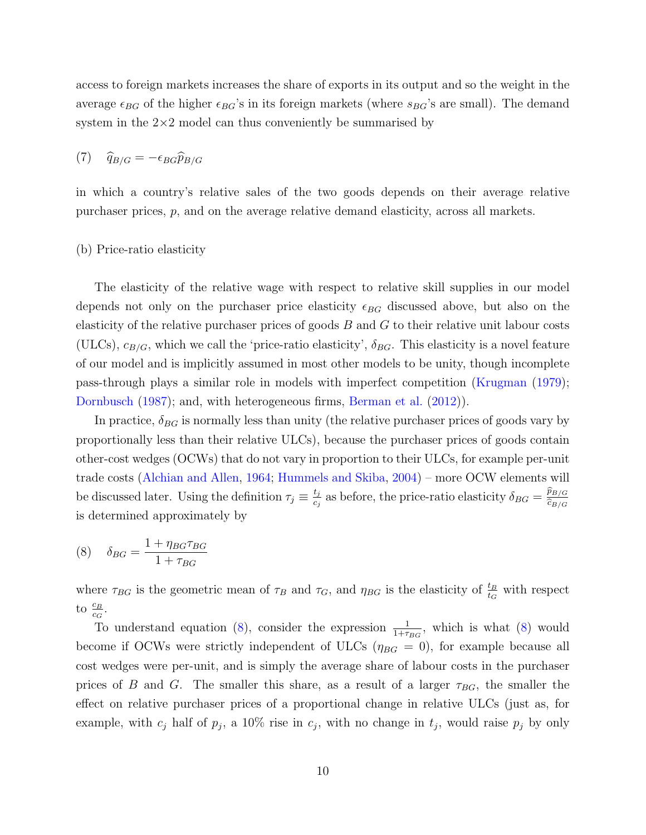<span id="page-10-1"></span>access to foreign markets increases the share of exports in its output and so the weight in the average  $\epsilon_{BG}$  of the higher  $\epsilon_{BG}$ 's in its foreign markets (where  $s_{BG}$ 's are small). The demand system in the  $2\times 2$  model can thus conveniently be summarised by

$$
(7) \quad \widehat{q}_{B/G} = -\epsilon_{BG}\widehat{p}_{B/G}
$$

in which a country's relative sales of the two goods depends on their average relative purchaser prices, p, and on the average relative demand elasticity, across all markets.

#### (b) Price-ratio elasticity

The elasticity of the relative wage with respect to relative skill supplies in our model depends not only on the purchaser price elasticity  $\epsilon_{BG}$  discussed above, but also on the elasticity of the relative purchaser prices of goods  $B$  and  $G$  to their relative unit labour costs (ULCs),  $c_{B/G}$ , which we call the 'price-ratio elasticity',  $\delta_{BG}$ . This elasticity is a novel feature of our model and is implicitly assumed in most other models to be unity, though incomplete pass-through plays a similar role in models with imperfect competition [\(Krugman](#page-42-4) [\(1979\)](#page-42-4); [Dornbusch](#page-41-11) [\(1987\)](#page-41-11); and, with heterogeneous firms, [Berman et al.](#page-40-8) [\(2012\)](#page-40-8)).

In practice,  $\delta_{BG}$  is normally less than unity (the relative purchaser prices of goods vary by proportionally less than their relative ULCs), because the purchaser prices of goods contain other-cost wedges (OCWs) that do not vary in proportion to their ULCs, for example per-unit trade costs [\(Alchian and Allen,](#page-39-5) [1964;](#page-39-5) [Hummels and Skiba,](#page-42-9) [2004\)](#page-42-9) – more OCW elements will be discussed later. Using the definition  $\tau_j \equiv \frac{t_j}{c_i}$  $\frac{t_j}{c_j}$  as before, the price-ratio elasticity  $\delta_{BG} = \frac{\widehat{p}_{B/G}}{\widehat{c}_{B/G}}$  $\widehat{c}_{B/G}$ is determined approximately by

<span id="page-10-0"></span>
$$
(8) \quad \delta_{BG} = \frac{1 + \eta_{BG}\tau_{BG}}{1 + \tau_{BG}}
$$

where  $\tau_{BG}$  is the geometric mean of  $\tau_B$  and  $\tau_G$ , and  $\eta_{BG}$  is the elasticity of  $\frac{t_B}{t_G}$  with respect to  $\frac{c_B}{c_G}$ .

To understand equation [\(8\)](#page-10-0), consider the expression  $\frac{1}{1+\tau_{BG}}$ , which is what (8) would become if OCWs were strictly independent of ULCs ( $\eta_{BG} = 0$ ), for example because all cost wedges were per-unit, and is simply the average share of labour costs in the purchaser prices of B and G. The smaller this share, as a result of a larger  $\tau_{BG}$ , the smaller the effect on relative purchaser prices of a proportional change in relative ULCs (just as, for example, with  $c_j$  half of  $p_j$ , a 10% rise in  $c_j$ , with no change in  $t_j$ , would raise  $p_j$  by only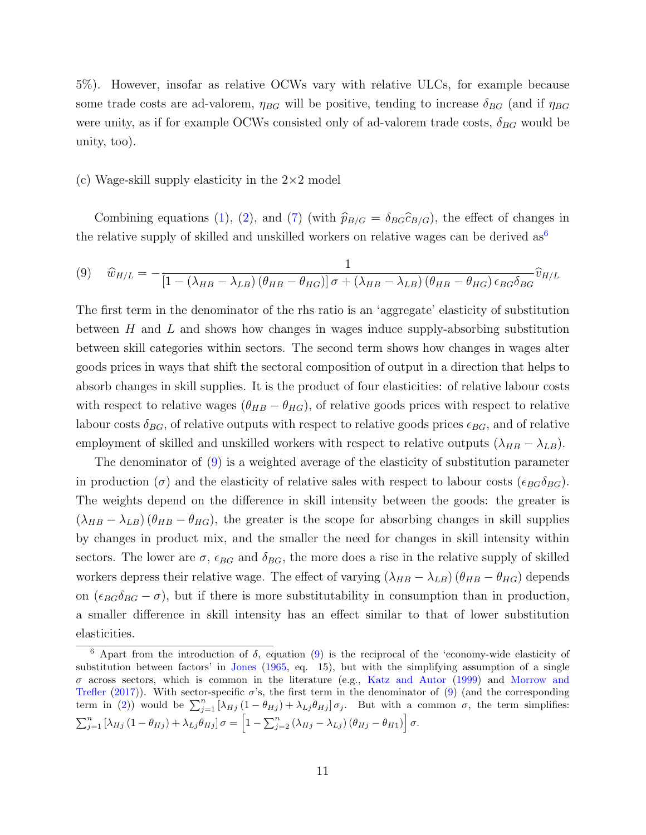5%). However, insofar as relative OCWs vary with relative ULCs, for example because some trade costs are ad-valorem,  $\eta_{BG}$  will be positive, tending to increase  $\delta_{BG}$  (and if  $\eta_{BG}$ were unity, as if for example OCWs consisted only of ad-valorem trade costs,  $\delta_{BG}$  would be unity, too).

#### (c) Wage-skill supply elasticity in the  $2\times 2$  model

<span id="page-11-1"></span>Combining equations [\(1\)](#page-7-2), [\(2\)](#page-7-1), and [\(7\)](#page-10-1) (with  $\hat{p}_{B/G} = \delta_{BG} \hat{c}_{B/G}$ ), the effect of changes in the relative supply of skilled and unskilled workers on relative wages can be derived  $as<sup>6</sup>$  $as<sup>6</sup>$  $as<sup>6</sup>$ 

$$
(9) \quad \widehat{w}_{H/L} = -\frac{1}{\left[1 - \left(\lambda_{HB} - \lambda_{LB}\right)\left(\theta_{HB} - \theta_{HG}\right)\right]\sigma + \left(\lambda_{HB} - \lambda_{LB}\right)\left(\theta_{HB} - \theta_{HG}\right)\epsilon_{BG}\delta_{BG}}\widehat{v}_{H/L}
$$

The first term in the denominator of the rhs ratio is an 'aggregate' elasticity of substitution between  $H$  and  $L$  and shows how changes in wages induce supply-absorbing substitution between skill categories within sectors. The second term shows how changes in wages alter goods prices in ways that shift the sectoral composition of output in a direction that helps to absorb changes in skill supplies. It is the product of four elasticities: of relative labour costs with respect to relative wages  $(\theta_{HB} - \theta_{HG})$ , of relative goods prices with respect to relative labour costs  $\delta_{BG}$ , of relative outputs with respect to relative goods prices  $\epsilon_{BG}$ , and of relative employment of skilled and unskilled workers with respect to relative outputs  $(\lambda_{HB} - \lambda_{LB})$ .

The denominator of [\(9\)](#page-11-1) is a weighted average of the elasticity of substitution parameter in production ( $\sigma$ ) and the elasticity of relative sales with respect to labour costs ( $\epsilon_{BG}\delta_{BG}$ ). The weights depend on the difference in skill intensity between the goods: the greater is  $(\lambda_{HB} - \lambda_{LB}) (\theta_{HB} - \theta_{HG})$ , the greater is the scope for absorbing changes in skill supplies by changes in product mix, and the smaller the need for changes in skill intensity within sectors. The lower are  $\sigma$ ,  $\epsilon_{BG}$  and  $\delta_{BG}$ , the more does a rise in the relative supply of skilled workers depress their relative wage. The effect of varying  $(\lambda_{HB} - \lambda_{LB}) (\theta_{HB} - \theta_{HG})$  depends on  $(\epsilon_{BG}\delta_{BG} - \sigma)$ , but if there is more substitutability in consumption than in production, a smaller difference in skill intensity has an effect similar to that of lower substitution elasticities.

<span id="page-11-0"></span><sup>&</sup>lt;sup>6</sup> Apart from the introduction of  $\delta$ , equation [\(9\)](#page-11-1) is the reciprocal of the 'economy-wide elasticity of substitution between factors' in [Jones](#page-42-12) [\(1965,](#page-42-12) eq. 15), but with the simplifying assumption of a single  $\sigma$  across sectors, which is common in the literature (e.g., [Katz and Autor](#page-42-3) [\(1999\)](#page-42-3) and [Morrow and](#page-43-1) [Trefler](#page-43-1) [\(2017\)](#page-43-1)). With sector-specific  $\sigma$ 's, the first term in the denominator of [\(9\)](#page-11-1) (and the corresponding term in [\(2\)](#page-7-1)) would be  $\sum_{j=1}^{n} [\lambda_{Hj} (1 - \theta_{Hj}) + \lambda_{Lj} \theta_{Hj}] \sigma_j$ . But with a common  $\sigma$ , the term simplifies:  $\sum_{j=1}^{n} [\lambda_{Hj} (1-\theta_{Hj}) + \lambda_{Lj} \theta_{Hj}] \sigma = \left[1 - \sum_{j=2}^{n} (\lambda_{Hj} - \lambda_{Lj}) (\theta_{Hj} - \theta_{H1})\right] \sigma.$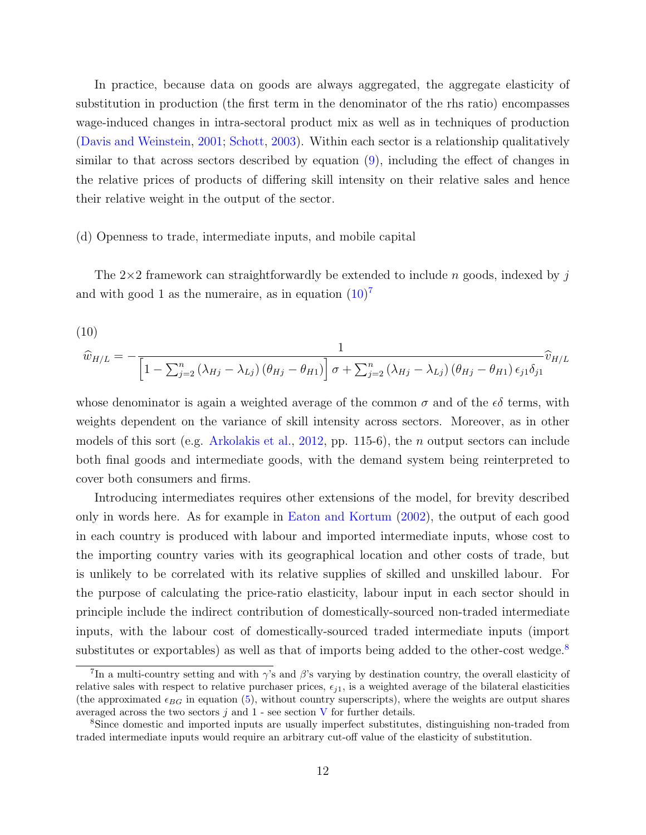In practice, because data on goods are always aggregated, the aggregate elasticity of substitution in production (the first term in the denominator of the rhs ratio) encompasses wage-induced changes in intra-sectoral product mix as well as in techniques of production [\(Davis and Weinstein,](#page-41-3) [2001;](#page-41-3) [Schott,](#page-44-1) [2003\)](#page-44-1). Within each sector is a relationship qualitatively similar to that across sectors described by equation [\(9\)](#page-11-1), including the effect of changes in the relative prices of products of differing skill intensity on their relative sales and hence their relative weight in the output of the sector.

#### (d) Openness to trade, intermediate inputs, and mobile capital

<span id="page-12-0"></span>The  $2\times 2$  framework can straightforwardly be extended to include n goods, indexed by j and with good 1 as the numeraire, as in equation  $(10)^7$  $(10)^7$  $(10)^7$ 

(10)  
\n
$$
\widehat{w}_{H/L} = -\frac{1}{\left[1 - \sum_{j=2}^{n} (\lambda_{Hj} - \lambda_{Lj}) (\theta_{Hj} - \theta_{H1})\right] \sigma + \sum_{j=2}^{n} (\lambda_{Hj} - \lambda_{Lj}) (\theta_{Hj} - \theta_{H1}) \epsilon_{j1} \delta_{j1}} \widehat{v}_{H/L}
$$

whose denominator is again a weighted average of the common  $\sigma$  and of the  $\epsilon\delta$  terms, with weights dependent on the variance of skill intensity across sectors. Moreover, as in other models of this sort (e.g. [Arkolakis et al.,](#page-39-2) [2012,](#page-39-2) pp. 115-6), the *n* output sectors can include both final goods and intermediate goods, with the demand system being reinterpreted to cover both consumers and firms.

Introducing intermediates requires other extensions of the model, for brevity described only in words here. As for example in [Eaton and Kortum](#page-41-1) [\(2002\)](#page-41-1), the output of each good in each country is produced with labour and imported intermediate inputs, whose cost to the importing country varies with its geographical location and other costs of trade, but is unlikely to be correlated with its relative supplies of skilled and unskilled labour. For the purpose of calculating the price-ratio elasticity, labour input in each sector should in principle include the indirect contribution of domestically-sourced non-traded intermediate inputs, with the labour cost of domestically-sourced traded intermediate inputs (import substitutes or exportables) as well as that of imports being added to the other-cost wedge.<sup>[8](#page-12-2)</sup>

<span id="page-12-1"></span><sup>&</sup>lt;sup>7</sup>In a multi-country setting and with  $\gamma$ 's and  $\beta$ 's varying by destination country, the overall elasticity of relative sales with respect to relative purchaser prices,  $\epsilon_{i1}$ , is a weighted average of the bilateral elasticities (the approximated  $\epsilon_{BG}$  in equation [\(5\)](#page-9-0), without country superscripts), where the weights are output shares averaged across the two sectors  $j$  and  $1$  - see section  $V$  for further details.

<span id="page-12-2"></span><sup>8</sup>Since domestic and imported inputs are usually imperfect substitutes, distinguishing non-traded from traded intermediate inputs would require an arbitrary cut-off value of the elasticity of substitution.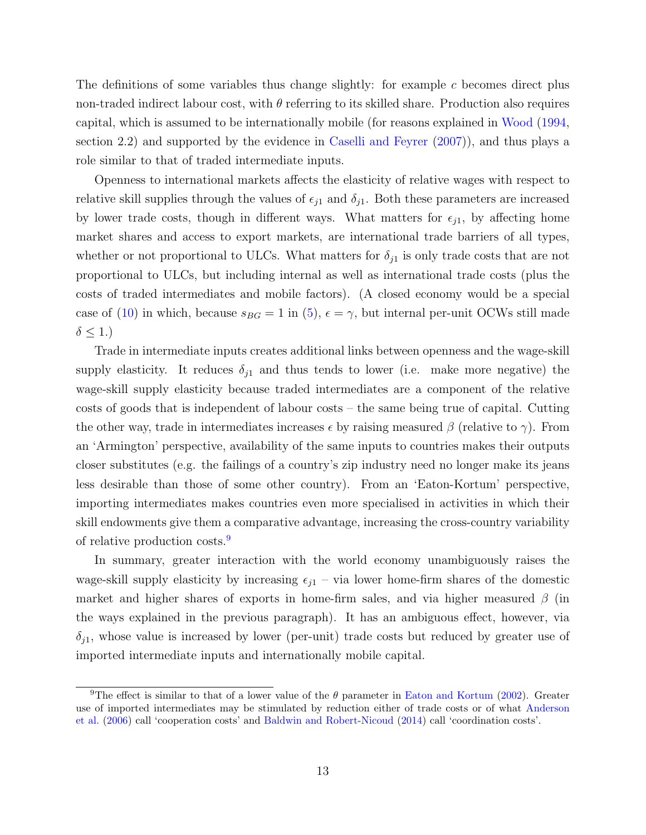The definitions of some variables thus change slightly: for example  $c$  becomes direct plus non-traded indirect labour cost, with  $\theta$  referring to its skilled share. Production also requires capital, which is assumed to be internationally mobile (for reasons explained in [Wood](#page-44-8) [\(1994,](#page-44-8) section 2.2) and supported by the evidence in [Caselli and Feyrer](#page-40-9) [\(2007\)](#page-40-9)), and thus plays a role similar to that of traded intermediate inputs.

Openness to international markets affects the elasticity of relative wages with respect to relative skill supplies through the values of  $\epsilon_{j1}$  and  $\delta_{j1}$ . Both these parameters are increased by lower trade costs, though in different ways. What matters for  $\epsilon_{j1}$ , by affecting home market shares and access to export markets, are international trade barriers of all types, whether or not proportional to ULCs. What matters for  $\delta_{i1}$  is only trade costs that are not proportional to ULCs, but including internal as well as international trade costs (plus the costs of traded intermediates and mobile factors). (A closed economy would be a special case of [\(10\)](#page-12-0) in which, because  $s_{BG} = 1$  in [\(5\)](#page-9-0),  $\epsilon = \gamma$ , but internal per-unit OCWs still made  $\delta \leq 1.$ 

Trade in intermediate inputs creates additional links between openness and the wage-skill supply elasticity. It reduces  $\delta_{i1}$  and thus tends to lower (i.e. make more negative) the wage-skill supply elasticity because traded intermediates are a component of the relative costs of goods that is independent of labour costs – the same being true of capital. Cutting the other way, trade in intermediates increases  $\epsilon$  by raising measured  $\beta$  (relative to  $\gamma$ ). From an 'Armington' perspective, availability of the same inputs to countries makes their outputs closer substitutes (e.g. the failings of a country's zip industry need no longer make its jeans less desirable than those of some other country). From an 'Eaton-Kortum' perspective, importing intermediates makes countries even more specialised in activities in which their skill endowments give them a comparative advantage, increasing the cross-country variability of relative production costs.[9](#page-13-0)

In summary, greater interaction with the world economy unambiguously raises the wage-skill supply elasticity by increasing  $\epsilon_{11}$  – via lower home-firm shares of the domestic market and higher shares of exports in home-firm sales, and via higher measured  $\beta$  (in the ways explained in the previous paragraph). It has an ambiguous effect, however, via  $\delta_{j1}$ , whose value is increased by lower (per-unit) trade costs but reduced by greater use of imported intermediate inputs and internationally mobile capital.

<span id="page-13-0"></span><sup>&</sup>lt;sup>9</sup>The effect is similar to that of a lower value of the  $\theta$  parameter in [Eaton and Kortum](#page-41-1) [\(2002\)](#page-41-1). Greater use of imported intermediates may be stimulated by reduction either of trade costs or of what [Anderson](#page-39-6) [et al.](#page-39-6) [\(2006\)](#page-39-6) call 'cooperation costs' and [Baldwin and Robert-Nicoud](#page-39-7) [\(2014\)](#page-39-7) call 'coordination costs'.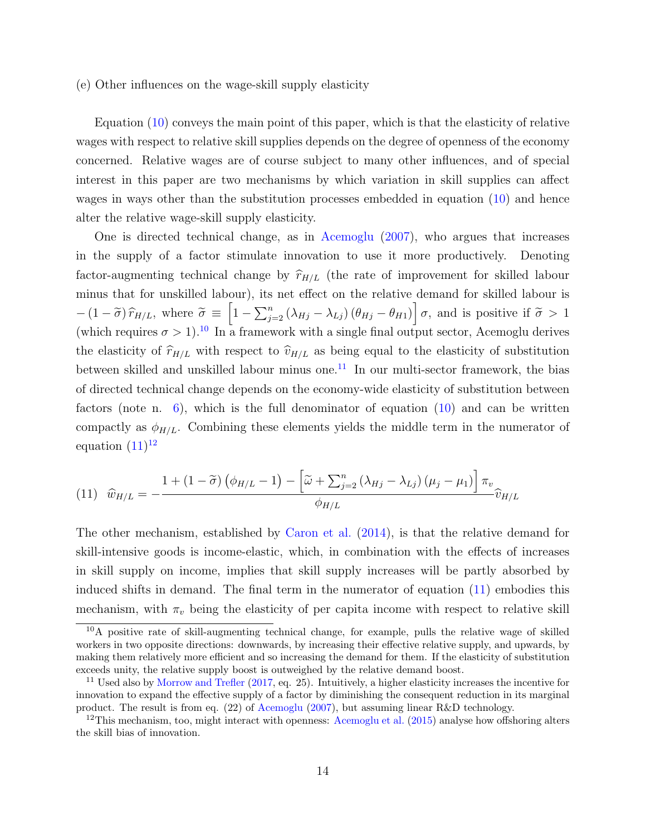#### (e) Other influences on the wage-skill supply elasticity

Equation [\(10\)](#page-12-0) conveys the main point of this paper, which is that the elasticity of relative wages with respect to relative skill supplies depends on the degree of openness of the economy concerned. Relative wages are of course subject to many other influences, and of special interest in this paper are two mechanisms by which variation in skill supplies can affect wages in ways other than the substitution processes embedded in equation [\(10\)](#page-12-0) and hence alter the relative wage-skill supply elasticity.

One is directed technical change, as in [Acemoglu](#page-39-4) [\(2007\)](#page-39-4), who argues that increases in the supply of a factor stimulate innovation to use it more productively. Denoting factor-augmenting technical change by  $\hat{r}_{H/L}$  (the rate of improvement for skilled labour minus that for unskilled labour), its net effect on the relative demand for skilled labour is  $-(1-\tilde{\sigma})\hat{r}_{H/L}$ , where  $\tilde{\sigma} \equiv \left[1 - \sum_{j=2}^{n} (\lambda_{Hj} - \lambda_{Lj}) (\theta_{Hj} - \theta_{H1})\right] \sigma$ , and is positive if  $\tilde{\sigma} > 1$ (which requires  $\sigma > 1$ ).<sup>[10](#page-14-0)</sup> In a framework with a single final output sector, Acemoglu derives the elasticity of  $\hat{r}_{H/L}$  with respect to  $\hat{v}_{H/L}$  as being equal to the elasticity of substitution between skilled and unskilled labour minus one.<sup>[11](#page-14-1)</sup> In our multi-sector framework, the bias of directed technical change depends on the economy-wide elasticity of substitution between factors (note n. [6\)](#page-11-0), which is the full denominator of equation [\(10\)](#page-12-0) and can be written compactly as  $\phi_{H/L}$ . Combining these elements yields the middle term in the numerator of equation  $(11)^{12}$  $(11)^{12}$  $(11)^{12}$  $(11)^{12}$ 

<span id="page-14-2"></span>
$$
(11) \quad \widehat{w}_{H/L} = -\frac{1 + (1 - \widetilde{\sigma}) \left(\phi_{H/L} - 1\right) - \left[\widetilde{\omega} + \sum_{j=2}^{n} \left(\lambda_{Hj} - \lambda_{Lj}\right) \left(\mu_j - \mu_1\right)\right] \pi_v}{\phi_{H/L}} \widehat{v}_{H/L}
$$

The other mechanism, established by [Caron et al.](#page-40-5) [\(2014\)](#page-40-5), is that the relative demand for skill-intensive goods is income-elastic, which, in combination with the effects of increases in skill supply on income, implies that skill supply increases will be partly absorbed by induced shifts in demand. The final term in the numerator of equation [\(11\)](#page-14-2) embodies this mechanism, with  $\pi_v$  being the elasticity of per capita income with respect to relative skill

<span id="page-14-0"></span><sup>10</sup>A positive rate of skill-augmenting technical change, for example, pulls the relative wage of skilled workers in two opposite directions: downwards, by increasing their effective relative supply, and upwards, by making them relatively more efficient and so increasing the demand for them. If the elasticity of substitution exceeds unity, the relative supply boost is outweighed by the relative demand boost.

<span id="page-14-1"></span> $11$  Used also by [Morrow and Trefler](#page-43-1) [\(2017,](#page-43-1) eq. 25). Intuitively, a higher elasticity increases the incentive for innovation to expand the effective supply of a factor by diminishing the consequent reduction in its marginal product. The result is from eq. (22) of [Acemoglu](#page-39-4) [\(2007\)](#page-39-4), but assuming linear R&D technology.

<span id="page-14-3"></span><sup>&</sup>lt;sup>12</sup>This mechanism, too, might interact with openness: [Acemoglu et al.](#page-39-8) [\(2015\)](#page-39-8) analyse how offshoring alters the skill bias of innovation.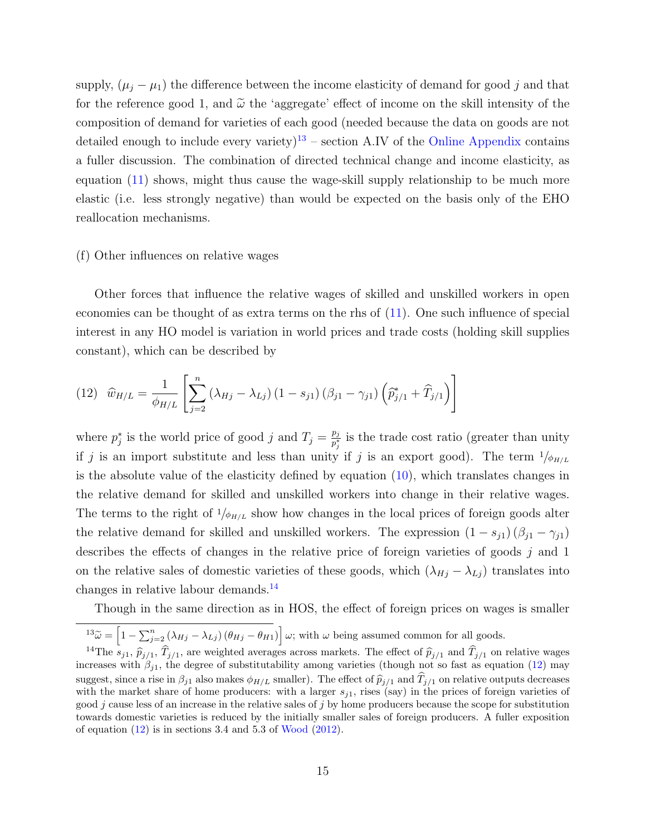supply,  $(\mu_j - \mu_1)$  the difference between the income elasticity of demand for good j and that for the reference good 1, and  $\tilde{\omega}$  the 'aggregate' effect of income on the skill intensity of the composition of demand for varieties of each good (needed because the data on goods are not detailed enough to include every variety)<sup>[13](#page-15-0)</sup> – section A.IV of the [Online Appendix](https://www.dropbox.com/s/ki6fgrx363apxpu/facprice_dec14OA.pdf?dl=0) contains a fuller discussion. The combination of directed technical change and income elasticity, as equation [\(11\)](#page-14-2) shows, might thus cause the wage-skill supply relationship to be much more elastic (i.e. less strongly negative) than would be expected on the basis only of the EHO reallocation mechanisms.

#### (f) Other influences on relative wages

Other forces that influence the relative wages of skilled and unskilled workers in open economies can be thought of as extra terms on the rhs of [\(11\)](#page-14-2). One such influence of special interest in any HO model is variation in world prices and trade costs (holding skill supplies constant), which can be described by

<span id="page-15-2"></span>(12) 
$$
\hat{w}_{H/L} = \frac{1}{\phi_{H/L}} \left[ \sum_{j=2}^{n} (\lambda_{Hj} - \lambda_{Lj}) (1 - s_{j1}) (\beta_{j1} - \gamma_{j1}) \left( \hat{p}_{j/1}^{*} + \hat{T}_{j/1} \right) \right]
$$

where  $p_j^*$  is the world price of good j and  $T_j = \frac{p_j}{p_j^*}$  $\frac{p_j}{p_j^*}$  is the trade cost ratio (greater than unity if j is an import substitute and less than unity if j is an export good). The term  $1/\phi_{H/L}$ is the absolute value of the elasticity defined by equation  $(10)$ , which translates changes in the relative demand for skilled and unskilled workers into change in their relative wages. The terms to the right of  $1/\phi_{H/L}$  show how changes in the local prices of foreign goods alter the relative demand for skilled and unskilled workers. The expression  $(1 - s_{j1}) (\beta_{j1} - \gamma_{j1})$ describes the effects of changes in the relative price of foreign varieties of goods j and 1 on the relative sales of domestic varieties of these goods, which  $(\lambda_{Hj} - \lambda_{Lj})$  translates into changes in relative labour demands.[14](#page-15-1)

Though in the same direction as in HOS, the effect of foreign prices on wages is smaller

<span id="page-15-1"></span><span id="page-15-0"></span> $^{13}\tilde{\omega} = \left[1 - \sum_{j=2}^{n} (\lambda_{Hj} - \lambda_{Lj}) (\theta_{Hj} - \theta_{H1})\right] \omega$ ; with  $\omega$  being assumed common for all goods.

<sup>&</sup>lt;sup>14</sup>The  $s_{j1}$ ,  $\hat{T}_{j/1}$ ,  $\hat{T}_{j/1}$ , are weighted averages across markets. The effect of  $\hat{p}_{j/1}$  and  $\hat{T}_{j/1}$  on relative wages<br>crosses with  $\beta_{ij}$ , the degree of substitute hility among varieties (though not s increases with  $\beta_{j1}$ , the degree of substitutability among varieties (though not so fast as equation [\(12\)](#page-15-2) may suggest, since a rise in  $\beta_{j1}$  also makes  $\phi_{H/L}$  smaller). The effect of  $\hat{p}_{j/1}$  and  $T_{j/1}$  on relative outputs decreases with the market share of home producers: with a larger  $s_{j1}$ , rises (say) in the prices of foreign varieties of good  $j$  cause less of an increase in the relative sales of  $j$  by home producers because the scope for substitution towards domestic varieties is reduced by the initially smaller sales of foreign producers. A fuller exposition of equation  $(12)$  is in sections 3.4 and 5.3 of [Wood](#page-45-0)  $(2012)$ .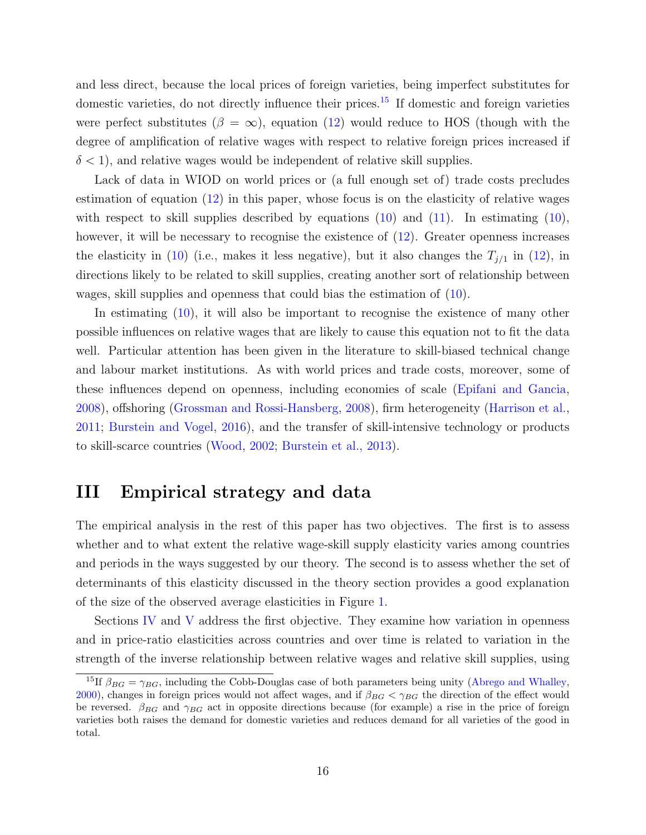and less direct, because the local prices of foreign varieties, being imperfect substitutes for domestic varieties, do not directly influence their prices.<sup>[15](#page-16-1)</sup> If domestic and foreign varieties were perfect substitutes ( $\beta = \infty$ ), equation [\(12\)](#page-15-2) would reduce to HOS (though with the degree of amplification of relative wages with respect to relative foreign prices increased if  $\delta$  < 1), and relative wages would be independent of relative skill supplies.

Lack of data in WIOD on world prices or (a full enough set of) trade costs precludes estimation of equation [\(12\)](#page-15-2) in this paper, whose focus is on the elasticity of relative wages with respect to skill supplies described by equations  $(10)$  and  $(11)$ . In estimating  $(10)$ , however, it will be necessary to recognise the existence of  $(12)$ . Greater openness increases the elasticity in [\(10\)](#page-12-0) (i.e., makes it less negative), but it also changes the  $T_{j/1}$  in [\(12\)](#page-15-2), in directions likely to be related to skill supplies, creating another sort of relationship between wages, skill supplies and openness that could bias the estimation of [\(10\)](#page-12-0).

In estimating [\(10\)](#page-12-0), it will also be important to recognise the existence of many other possible influences on relative wages that are likely to cause this equation not to fit the data well. Particular attention has been given in the literature to skill-biased technical change and labour market institutions. As with world prices and trade costs, moreover, some of these influences depend on openness, including economies of scale [\(Epifani and Gancia,](#page-41-7) [2008\)](#page-41-7), offshoring [\(Grossman and Rossi-Hansberg,](#page-41-8) [2008\)](#page-41-8), firm heterogeneity [\(Harrison et al.,](#page-41-9) [2011;](#page-41-9) [Burstein and Vogel,](#page-40-7) [2016\)](#page-40-7), and the transfer of skill-intensive technology or products to skill-scarce countries [\(Wood,](#page-44-6) [2002;](#page-44-6) [Burstein et al.,](#page-40-10) [2013\)](#page-40-10).

### <span id="page-16-0"></span>III Empirical strategy and data

The empirical analysis in the rest of this paper has two objectives. The first is to assess whether and to what extent the relative wage-skill supply elasticity varies among countries and periods in the ways suggested by our theory. The second is to assess whether the set of determinants of this elasticity discussed in the theory section provides a good explanation of the size of the observed average elasticities in Figure [1.](#page-3-0)

Sections [IV](#page-18-0) and [V](#page-25-0) address the first objective. They examine how variation in openness and in price-ratio elasticities across countries and over time is related to variation in the strength of the inverse relationship between relative wages and relative skill supplies, using

<span id="page-16-1"></span><sup>&</sup>lt;sup>15</sup>If  $\beta_{BG} = \gamma_{BG}$ , including the Cobb-Douglas case of both parameters being unity [\(Abrego and Whalley,](#page-39-9) [2000\)](#page-39-9), changes in foreign prices would not affect wages, and if  $\beta_{BG} < \gamma_{BG}$  the direction of the effect would be reversed.  $\beta_{BG}$  and  $\gamma_{BG}$  act in opposite directions because (for example) a rise in the price of foreign varieties both raises the demand for domestic varieties and reduces demand for all varieties of the good in total.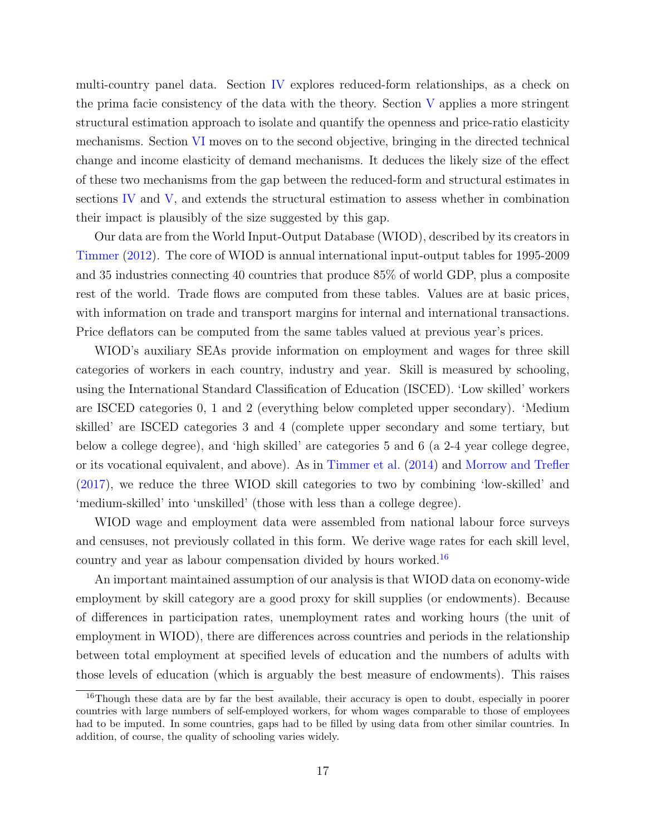multi-country panel data. Section [IV](#page-18-0) explores reduced-form relationships, as a check on the prima facie consistency of the data with the theory. Section [V](#page-25-0) applies a more stringent structural estimation approach to isolate and quantify the openness and price-ratio elasticity mechanisms. Section [VI](#page-33-0) moves on to the second objective, bringing in the directed technical change and income elasticity of demand mechanisms. It deduces the likely size of the effect of these two mechanisms from the gap between the reduced-form and structural estimates in sections [IV](#page-18-0) and [V,](#page-25-0) and extends the structural estimation to assess whether in combination their impact is plausibly of the size suggested by this gap.

Our data are from the World Input-Output Database (WIOD), described by its creators in [Timmer](#page-44-9) [\(2012\)](#page-44-9). The core of WIOD is annual international input-output tables for 1995-2009 and 35 industries connecting 40 countries that produce 85% of world GDP, plus a composite rest of the world. Trade flows are computed from these tables. Values are at basic prices, with information on trade and transport margins for internal and international transactions. Price deflators can be computed from the same tables valued at previous year's prices.

WIOD's auxiliary SEAs provide information on employment and wages for three skill categories of workers in each country, industry and year. Skill is measured by schooling, using the International Standard Classification of Education (ISCED). 'Low skilled' workers are ISCED categories 0, 1 and 2 (everything below completed upper secondary). 'Medium skilled' are ISCED categories 3 and 4 (complete upper secondary and some tertiary, but below a college degree), and 'high skilled' are categories 5 and 6 (a 2-4 year college degree, or its vocational equivalent, and above). As in [Timmer et al.](#page-44-10) [\(2014\)](#page-44-10) and [Morrow and Trefler](#page-43-1) [\(2017\)](#page-43-1), we reduce the three WIOD skill categories to two by combining 'low-skilled' and 'medium-skilled' into 'unskilled' (those with less than a college degree).

WIOD wage and employment data were assembled from national labour force surveys and censuses, not previously collated in this form. We derive wage rates for each skill level, country and year as labour compensation divided by hours worked.[16](#page-17-0)

An important maintained assumption of our analysis is that WIOD data on economy-wide employment by skill category are a good proxy for skill supplies (or endowments). Because of differences in participation rates, unemployment rates and working hours (the unit of employment in WIOD), there are differences across countries and periods in the relationship between total employment at specified levels of education and the numbers of adults with those levels of education (which is arguably the best measure of endowments). This raises

<span id="page-17-0"></span><sup>&</sup>lt;sup>16</sup>Though these data are by far the best available, their accuracy is open to doubt, especially in poorer countries with large numbers of self-employed workers, for whom wages comparable to those of employees had to be imputed. In some countries, gaps had to be filled by using data from other similar countries. In addition, of course, the quality of schooling varies widely.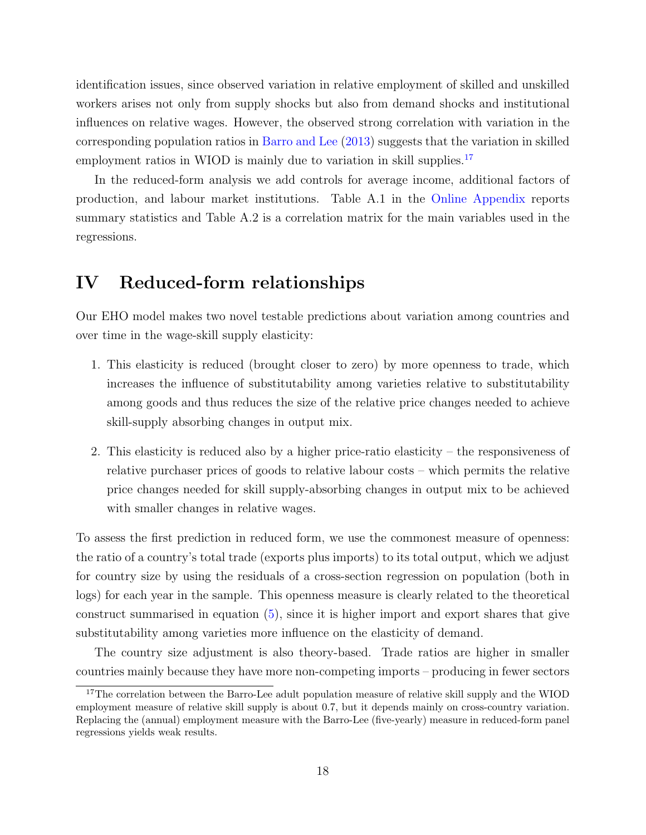identification issues, since observed variation in relative employment of skilled and unskilled workers arises not only from supply shocks but also from demand shocks and institutional influences on relative wages. However, the observed strong correlation with variation in the corresponding population ratios in [Barro and Lee](#page-39-10) [\(2013\)](#page-39-10) suggests that the variation in skilled employment ratios in WIOD is mainly due to variation in skill supplies.<sup>[17](#page-18-1)</sup>

In the reduced-form analysis we add controls for average income, additional factors of production, and labour market institutions. Table A.1 in the [Online Appendix](https://www.dropbox.com/s/ki6fgrx363apxpu/facprice_dec14OA.pdf?dl=0) reports summary statistics and Table A.2 is a correlation matrix for the main variables used in the regressions.

### <span id="page-18-0"></span>IV Reduced-form relationships

Our EHO model makes two novel testable predictions about variation among countries and over time in the wage-skill supply elasticity:

- 1. This elasticity is reduced (brought closer to zero) by more openness to trade, which increases the influence of substitutability among varieties relative to substitutability among goods and thus reduces the size of the relative price changes needed to achieve skill-supply absorbing changes in output mix.
- 2. This elasticity is reduced also by a higher price-ratio elasticity the responsiveness of relative purchaser prices of goods to relative labour costs – which permits the relative price changes needed for skill supply-absorbing changes in output mix to be achieved with smaller changes in relative wages.

To assess the first prediction in reduced form, we use the commonest measure of openness: the ratio of a country's total trade (exports plus imports) to its total output, which we adjust for country size by using the residuals of a cross-section regression on population (both in logs) for each year in the sample. This openness measure is clearly related to the theoretical construct summarised in equation [\(5\)](#page-9-0), since it is higher import and export shares that give substitutability among varieties more influence on the elasticity of demand.

The country size adjustment is also theory-based. Trade ratios are higher in smaller countries mainly because they have more non-competing imports – producing in fewer sectors

<span id="page-18-1"></span><sup>&</sup>lt;sup>17</sup>The correlation between the Barro-Lee adult population measure of relative skill supply and the WIOD employment measure of relative skill supply is about 0.7, but it depends mainly on cross-country variation. Replacing the (annual) employment measure with the Barro-Lee (five-yearly) measure in reduced-form panel regressions yields weak results.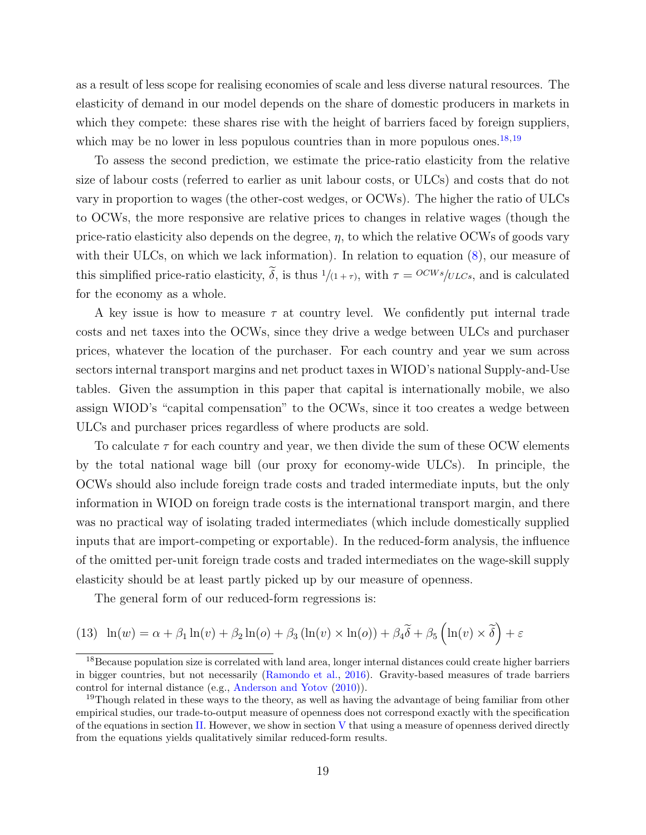as a result of less scope for realising economies of scale and less diverse natural resources. The elasticity of demand in our model depends on the share of domestic producers in markets in which they compete: these shares rise with the height of barriers faced by foreign suppliers, which may be no lower in less populous countries than in more populous ones.<sup>[18](#page-19-0),[19](#page-19-1)</sup>

To assess the second prediction, we estimate the price-ratio elasticity from the relative size of labour costs (referred to earlier as unit labour costs, or ULCs) and costs that do not vary in proportion to wages (the other-cost wedges, or OCWs). The higher the ratio of ULCs to OCWs, the more responsive are relative prices to changes in relative wages (though the price-ratio elasticity also depends on the degree,  $\eta$ , to which the relative OCWs of goods vary with their ULCs, on which we lack information). In relation to equation  $(8)$ , our measure of this simplified price-ratio elasticity,  $\tilde{\delta}$ , is thus  $1/(1+\tau)$ , with  $\tau = OCWs/ULCs$ , and is calculated for the economy as a whole.

A key issue is how to measure  $\tau$  at country level. We confidently put internal trade costs and net taxes into the OCWs, since they drive a wedge between ULCs and purchaser prices, whatever the location of the purchaser. For each country and year we sum across sectors internal transport margins and net product taxes in WIOD's national Supply-and-Use tables. Given the assumption in this paper that capital is internationally mobile, we also assign WIOD's "capital compensation" to the OCWs, since it too creates a wedge between ULCs and purchaser prices regardless of where products are sold.

To calculate  $\tau$  for each country and year, we then divide the sum of these OCW elements by the total national wage bill (our proxy for economy-wide ULCs). In principle, the OCWs should also include foreign trade costs and traded intermediate inputs, but the only information in WIOD on foreign trade costs is the international transport margin, and there was no practical way of isolating traded intermediates (which include domestically supplied inputs that are import-competing or exportable). In the reduced-form analysis, the influence of the omitted per-unit foreign trade costs and traded intermediates on the wage-skill supply elasticity should be at least partly picked up by our measure of openness.

<span id="page-19-2"></span>The general form of our reduced-form regressions is:

(13) 
$$
\ln(w) = \alpha + \beta_1 \ln(v) + \beta_2 \ln(o) + \beta_3 (\ln(v) \times \ln(o)) + \beta_4 \widetilde{\delta} + \beta_5 (\ln(v) \times \widetilde{\delta}) + \varepsilon
$$

<span id="page-19-0"></span><sup>&</sup>lt;sup>18</sup>Because population size is correlated with land area, longer internal distances could create higher barriers in bigger countries, but not necessarily [\(Ramondo et al.,](#page-43-8) [2016\)](#page-43-8). Gravity-based measures of trade barriers control for internal distance (e.g., [Anderson and Yotov](#page-39-11) [\(2010\)](#page-39-11)).

<span id="page-19-1"></span><sup>&</sup>lt;sup>19</sup>Though related in these ways to the theory, as well as having the advantage of being familiar from other empirical studies, our trade-to-output measure of openness does not correspond exactly with the specification of the equations in section [II.](#page-7-0) However, we show in section  $V$  that using a measure of openness derived directly from the equations yields qualitatively similar reduced-form results.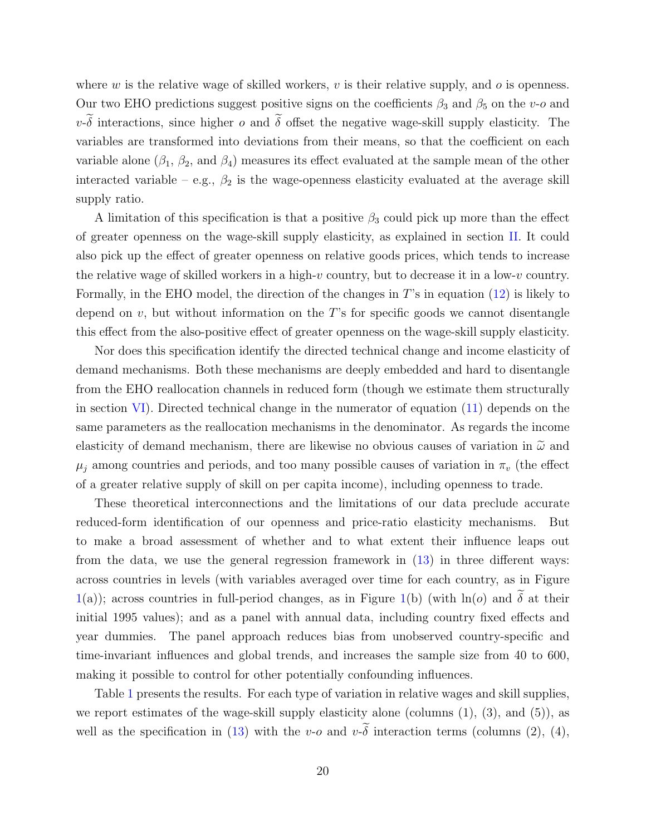where  $w$  is the relative wage of skilled workers,  $v$  is their relative supply, and  $o$  is openness. Our two EHO predictions suggest positive signs on the coefficients  $\beta_3$  and  $\beta_5$  on the v-o and  $v\text{-}\widetilde{\delta}$  interactions, since higher  $o$  and  $\widetilde{\delta}$  offset the negative wage-skill supply elasticity. The variables are transformed into deviations from their means, so that the coefficient on each variable alone ( $\beta_1$ ,  $\beta_2$ , and  $\beta_4$ ) measures its effect evaluated at the sample mean of the other interacted variable – e.g.,  $\beta_2$  is the wage-openness elasticity evaluated at the average skill supply ratio.

A limitation of this specification is that a positive  $\beta_3$  could pick up more than the effect of greater openness on the wage-skill supply elasticity, as explained in section [II.](#page-7-0) It could also pick up the effect of greater openness on relative goods prices, which tends to increase the relative wage of skilled workers in a high-v country, but to decrease it in a low-v country. Formally, in the EHO model, the direction of the changes in  $T$ 's in equation [\(12\)](#page-15-2) is likely to depend on  $v$ , but without information on the T's for specific goods we cannot disentangle this effect from the also-positive effect of greater openness on the wage-skill supply elasticity.

Nor does this specification identify the directed technical change and income elasticity of demand mechanisms. Both these mechanisms are deeply embedded and hard to disentangle from the EHO reallocation channels in reduced form (though we estimate them structurally in section [VI\)](#page-33-0). Directed technical change in the numerator of equation [\(11\)](#page-14-2) depends on the same parameters as the reallocation mechanisms in the denominator. As regards the income elasticity of demand mechanism, there are likewise no obvious causes of variation in  $\tilde{\omega}$  and  $\mu_j$  among countries and periods, and too many possible causes of variation in  $\pi_v$  (the effect of a greater relative supply of skill on per capita income), including openness to trade.

These theoretical interconnections and the limitations of our data preclude accurate reduced-form identification of our openness and price-ratio elasticity mechanisms. But to make a broad assessment of whether and to what extent their influence leaps out from the data, we use the general regression framework in [\(13\)](#page-19-2) in three different ways: across countries in levels (with variables averaged over time for each country, as in Figure [1\(](#page-3-0)a)); across countries in full-period changes, as in Figure 1(b) (with  $\ln(o)$  and  $\tilde{\delta}$  at their initial 1995 values); and as a panel with annual data, including country fixed effects and year dummies. The panel approach reduces bias from unobserved country-specific and time-invariant influences and global trends, and increases the sample size from 40 to 600, making it possible to control for other potentially confounding influences.

Table [1](#page-22-0) presents the results. For each type of variation in relative wages and skill supplies, we report estimates of the wage-skill supply elasticity alone (columns (1), (3), and (5)), as well as the specification in [\(13\)](#page-19-2) with the v-o and  $v\text{-}\widetilde{\delta}$  interaction terms (columns (2), (4),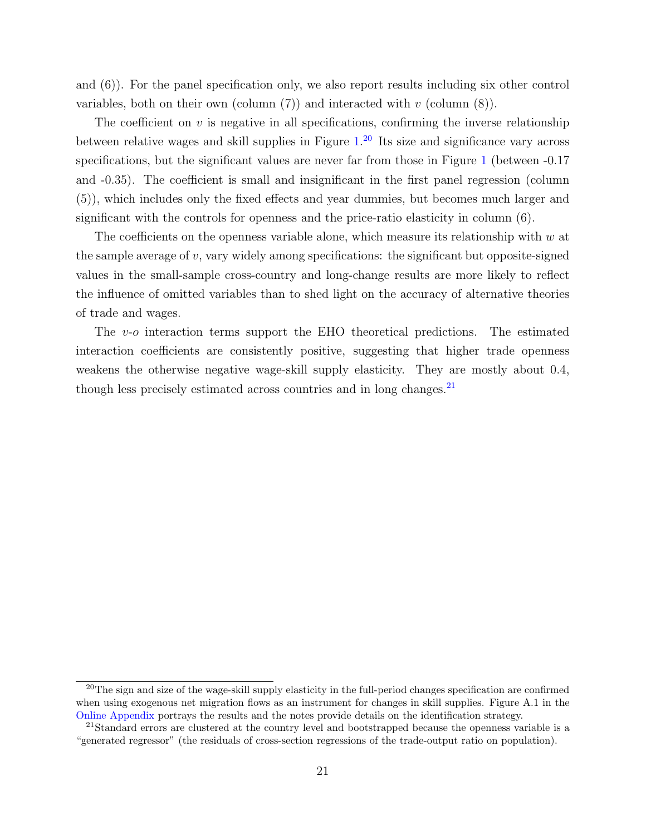and (6)). For the panel specification only, we also report results including six other control variables, both on their own (column  $(7)$ ) and interacted with v (column  $(8)$ ).

The coefficient on  $v$  is negative in all specifications, confirming the inverse relationship between relative wages and skill supplies in Figure [1.](#page-3-0)<sup>[20](#page-21-0)</sup> Its size and significance vary across specifications, but the significant values are never far from those in Figure [1](#page-3-0) (between  $-0.17$ ) and -0.35). The coefficient is small and insignificant in the first panel regression (column (5)), which includes only the fixed effects and year dummies, but becomes much larger and significant with the controls for openness and the price-ratio elasticity in column (6).

The coefficients on the openness variable alone, which measure its relationship with  $w$  at the sample average of  $v$ , vary widely among specifications: the significant but opposite-signed values in the small-sample cross-country and long-change results are more likely to reflect the influence of omitted variables than to shed light on the accuracy of alternative theories of trade and wages.

The v-o interaction terms support the EHO theoretical predictions. The estimated interaction coefficients are consistently positive, suggesting that higher trade openness weakens the otherwise negative wage-skill supply elasticity. They are mostly about 0.4, though less precisely estimated across countries and in long changes. $2<sup>1</sup>$ 

<span id="page-21-0"></span><sup>&</sup>lt;sup>20</sup>The sign and size of the wage-skill supply elasticity in the full-period changes specification are confirmed when using exogenous net migration flows as an instrument for changes in skill supplies. Figure A.1 in the [Online Appendix](https://www.dropbox.com/s/ki6fgrx363apxpu/facprice_dec14OA.pdf?dl=0) portrays the results and the notes provide details on the identification strategy.

<span id="page-21-1"></span><sup>&</sup>lt;sup>21</sup>Standard errors are clustered at the country level and bootstrapped because the openness variable is a "generated regressor" (the residuals of cross-section regressions of the trade-output ratio on population).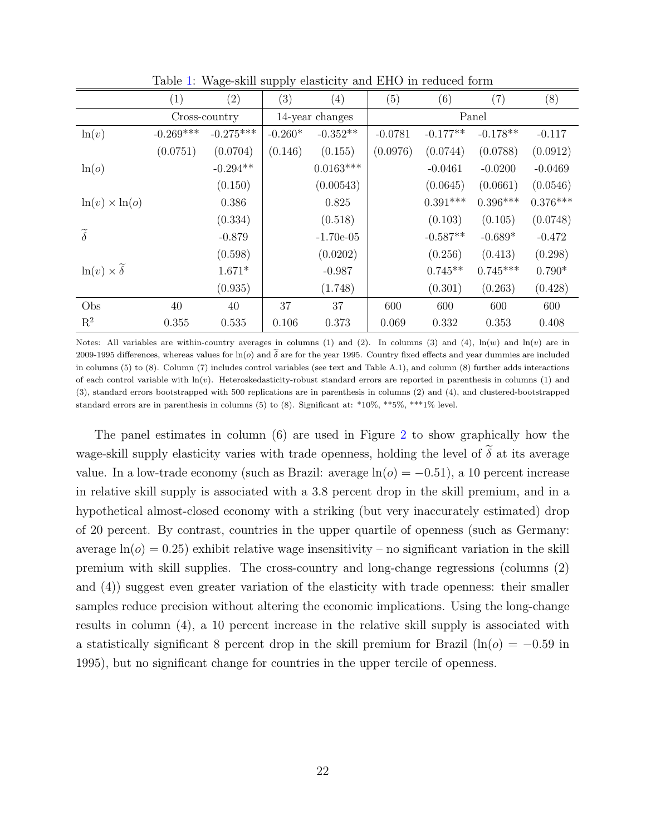<span id="page-22-0"></span>

|                                   | (1)           | (2)         | (3)             | (4)         | (5)       | (6)        | (7)        | (8)        |
|-----------------------------------|---------------|-------------|-----------------|-------------|-----------|------------|------------|------------|
|                                   | Cross-country |             | 14-year changes |             | Panel     |            |            |            |
| ln(v)                             | $-0.269***$   | $-0.275***$ | $-0.260*$       | $-0.352**$  | $-0.0781$ | $-0.177**$ | $-0.178**$ | $-0.117$   |
|                                   | (0.0751)      | (0.0704)    | (0.146)         | (0.155)     | (0.0976)  | (0.0744)   | (0.0788)   | (0.0912)   |
| ln(o)                             |               | $-0.294**$  |                 | $0.0163***$ |           | $-0.0461$  | $-0.0200$  | $-0.0469$  |
|                                   |               | (0.150)     |                 | (0.00543)   |           | (0.0645)   | (0.0661)   | (0.0546)   |
| $\ln(v) \times \ln(o)$            |               | 0.386       |                 | 0.825       |           | $0.391***$ | $0.396***$ | $0.376***$ |
|                                   |               | (0.334)     |                 | (0.518)     |           | (0.103)    | (0.105)    | (0.0748)   |
| $\widetilde{\delta}$              |               | $-0.879$    |                 | $-1.70e-05$ |           | $-0.587**$ | $-0.689*$  | $-0.472$   |
|                                   |               | (0.598)     |                 | (0.0202)    |           | (0.256)    | (0.413)    | (0.298)    |
| $ln(v) \times \widetilde{\delta}$ |               | $1.671*$    |                 | $-0.987$    |           | $0.745**$  | $0.745***$ | $0.790*$   |
|                                   |               | (0.935)     |                 | (1.748)     |           | (0.301)    | (0.263)    | (0.428)    |
| Obs                               | 40            | 40          | 37              | 37          | 600       | 600        | 600        | 600        |
| $\mathbf{R}^2$                    | 0.355         | 0.535       | 0.106           | 0.373       | 0.069     | 0.332      | 0.353      | 0.408      |

Table [1:](#page-22-0) Wage-skill supply elasticity and EHO in reduced form

Notes: All variables are within-country averages in columns (1) and (2). In columns (3) and (4),  $\ln(w)$  and  $\ln(v)$  are in 2009-1995 differences, whereas values for  $\ln(o)$  and  $\delta$  are for the year 1995. Country fixed effects and year dummies are included in columns (5) to (8). Column (7) includes control variables (see text and Table A.1), and column (8) further adds interactions of each control variable with  $ln(v)$ . Heteroskedasticity-robust standard errors are reported in parenthesis in columns (1) and (3), standard errors bootstrapped with 500 replications are in parenthesis in columns (2) and (4), and clustered-bootstrapped standard errors are in parenthesis in columns (5) to (8). Significant at: \*10%, \*\*5%, \*\*\*1% level.

The panel estimates in column (6) are used in Figure [2](#page-23-0) to show graphically how the wage-skill supply elasticity varies with trade openness, holding the level of  $\tilde{\delta}$  at its average value. In a low-trade economy (such as Brazil: average  $ln(o) = -0.51$ ), a 10 percent increase in relative skill supply is associated with a 3.8 percent drop in the skill premium, and in a hypothetical almost-closed economy with a striking (but very inaccurately estimated) drop of 20 percent. By contrast, countries in the upper quartile of openness (such as Germany: average  $ln(\rho) = 0.25$  exhibit relative wage insensitivity – no significant variation in the skill premium with skill supplies. The cross-country and long-change regressions (columns (2) and (4)) suggest even greater variation of the elasticity with trade openness: their smaller samples reduce precision without altering the economic implications. Using the long-change results in column (4), a 10 percent increase in the relative skill supply is associated with a statistically significant 8 percent drop in the skill premium for Brazil ( $\ln(\sigma) = -0.59$  in 1995), but no significant change for countries in the upper tercile of openness.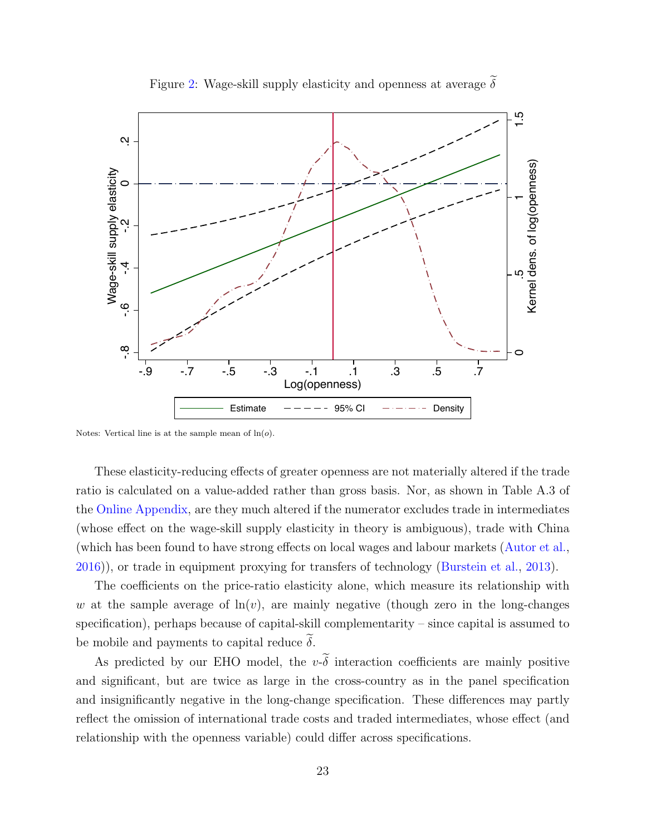<span id="page-23-0"></span>

Figure [2:](#page-23-0) Wage-skill supply elasticity and openness at average  $\delta$ 

Notes: Vertical line is at the sample mean of  $ln(o)$ .

These elasticity-reducing effects of greater openness are not materially altered if the trade ratio is calculated on a value-added rather than gross basis. Nor, as shown in Table A.3 of the [Online Appendix,](https://www.dropbox.com/s/ki6fgrx363apxpu/facprice_dec14OA.pdf?dl=0) are they much altered if the numerator excludes trade in intermediates (whose effect on the wage-skill supply elasticity in theory is ambiguous), trade with China (which has been found to have strong effects on local wages and labour markets [\(Autor et al.,](#page-39-12) [2016\)](#page-39-12)), or trade in equipment proxying for transfers of technology [\(Burstein et al.,](#page-40-10) [2013\)](#page-40-10).

The coefficients on the price-ratio elasticity alone, which measure its relationship with w at the sample average of  $\ln(v)$ , are mainly negative (though zero in the long-changes specification), perhaps because of capital-skill complementarity – since capital is assumed to be mobile and payments to capital reduce  $\delta$ .

As predicted by our EHO model, the  $v\text{-}\widetilde{\delta}$  interaction coefficients are mainly positive and significant, but are twice as large in the cross-country as in the panel specification and insignificantly negative in the long-change specification. These differences may partly reflect the omission of international trade costs and traded intermediates, whose effect (and relationship with the openness variable) could differ across specifications.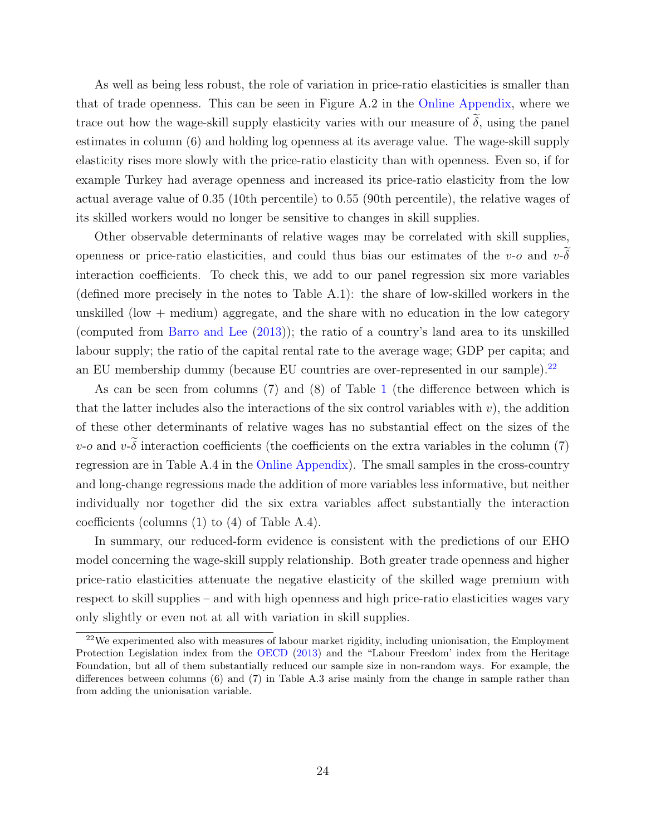As well as being less robust, the role of variation in price-ratio elasticities is smaller than that of trade openness. This can be seen in Figure A.2 in the [Online Appendix,](https://www.dropbox.com/s/ki6fgrx363apxpu/facprice_dec14OA.pdf?dl=0) where we trace out how the wage-skill supply elasticity varies with our measure of  $\tilde{\delta}$ , using the panel estimates in column (6) and holding log openness at its average value. The wage-skill supply elasticity rises more slowly with the price-ratio elasticity than with openness. Even so, if for example Turkey had average openness and increased its price-ratio elasticity from the low actual average value of 0.35 (10th percentile) to 0.55 (90th percentile), the relative wages of its skilled workers would no longer be sensitive to changes in skill supplies.

Other observable determinants of relative wages may be correlated with skill supplies, openness or price-ratio elasticities, and could thus bias our estimates of the v-o and  $v\text{-}\delta$ interaction coefficients. To check this, we add to our panel regression six more variables (defined more precisely in the notes to Table A.1): the share of low-skilled workers in the unskilled (low  $+$  medium) aggregate, and the share with no education in the low category (computed from [Barro and Lee](#page-39-10) [\(2013\)](#page-39-10)); the ratio of a country's land area to its unskilled labour supply; the ratio of the capital rental rate to the average wage; GDP per capita; and an EU membership dummy (because EU countries are over-represented in our sample).<sup>[22](#page-24-0)</sup>

As can be seen from columns (7) and (8) of Table [1](#page-22-0) (the difference between which is that the latter includes also the interactions of the six control variables with  $v$ ), the addition of these other determinants of relative wages has no substantial effect on the sizes of the  $v$ -o and  $v$ - $\delta$  interaction coefficients (the coefficients on the extra variables in the column (7) regression are in Table A.4 in the [Online Appendix\)](https://www.dropbox.com/s/ki6fgrx363apxpu/facprice_dec14OA.pdf?dl=0). The small samples in the cross-country and long-change regressions made the addition of more variables less informative, but neither individually nor together did the six extra variables affect substantially the interaction coefficients (columns (1) to (4) of Table A.4).

In summary, our reduced-form evidence is consistent with the predictions of our EHO model concerning the wage-skill supply relationship. Both greater trade openness and higher price-ratio elasticities attenuate the negative elasticity of the skilled wage premium with respect to skill supplies – and with high openness and high price-ratio elasticities wages vary only slightly or even not at all with variation in skill supplies.

<span id="page-24-0"></span> $22$ We experimented also with measures of labour market rigidity, including unionisation, the Employment Protection Legislation index from the [OECD](#page-43-9) [\(2013\)](#page-43-9) and the "Labour Freedom' index from the Heritage Foundation, but all of them substantially reduced our sample size in non-random ways. For example, the differences between columns (6) and (7) in Table A.3 arise mainly from the change in sample rather than from adding the unionisation variable.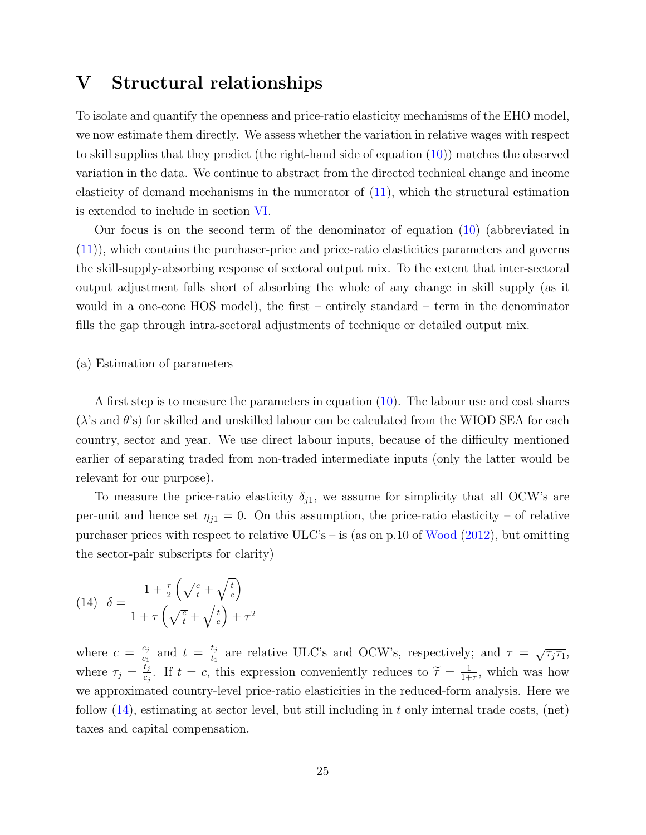### <span id="page-25-0"></span>V Structural relationships

To isolate and quantify the openness and price-ratio elasticity mechanisms of the EHO model, we now estimate them directly. We assess whether the variation in relative wages with respect to skill supplies that they predict (the right-hand side of equation [\(10\)](#page-12-0)) matches the observed variation in the data. We continue to abstract from the directed technical change and income elasticity of demand mechanisms in the numerator of  $(11)$ , which the structural estimation is extended to include in section [VI.](#page-33-0)

Our focus is on the second term of the denominator of equation [\(10\)](#page-12-0) (abbreviated in [\(11\)](#page-14-2)), which contains the purchaser-price and price-ratio elasticities parameters and governs the skill-supply-absorbing response of sectoral output mix. To the extent that inter-sectoral output adjustment falls short of absorbing the whole of any change in skill supply (as it would in a one-cone HOS model), the first – entirely standard – term in the denominator fills the gap through intra-sectoral adjustments of technique or detailed output mix.

#### (a) Estimation of parameters

A first step is to measure the parameters in equation  $(10)$ . The labour use and cost shares  $(\lambda)$ 's and  $\theta$ 's) for skilled and unskilled labour can be calculated from the WIOD SEA for each country, sector and year. We use direct labour inputs, because of the difficulty mentioned earlier of separating traded from non-traded intermediate inputs (only the latter would be relevant for our purpose).

To measure the price-ratio elasticity  $\delta_{j1}$ , we assume for simplicity that all OCW's are per-unit and hence set  $\eta_{i1} = 0$ . On this assumption, the price-ratio elasticity – of relative purchaser prices with respect to relative  $ULC's - is$  (as on p.10 of [Wood](#page-45-0) [\(2012\)](#page-45-0), but omitting the sector-pair subscripts for clarity)

<span id="page-25-1"></span>(14) 
$$
\delta = \frac{1 + \frac{\tau}{2} \left( \sqrt{\frac{c}{t}} + \sqrt{\frac{t}{c}} \right)}{1 + \tau \left( \sqrt{\frac{c}{t}} + \sqrt{\frac{t}{c}} \right) + \tau^2}
$$

where  $c = \frac{c_j}{c_j}$  $\frac{c_j}{c_1}$  and  $t = \frac{t_j}{t_1}$  $\frac{t_j}{t_1}$  are relative ULC's and OCW's, respectively; and  $\tau = \sqrt{\tau_j \tau_1}$ , where  $\tau_j = \frac{t_j}{c_i}$  $\frac{t_j}{c_j}$ . If  $t = c$ , this expression conveniently reduces to  $\widetilde{\tau} = \frac{1}{1+}$  $\frac{1}{1+\tau}$ , which was how we approximated country-level price-ratio elasticities in the reduced-form analysis. Here we follow  $(14)$ , estimating at sector level, but still including in t only internal trade costs, (net) taxes and capital compensation.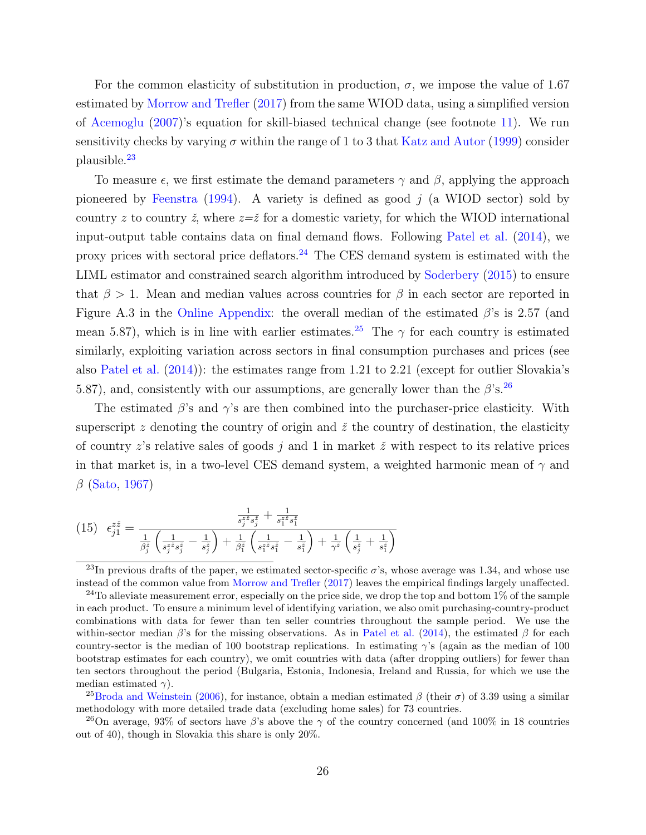For the common elasticity of substitution in production,  $\sigma$ , we impose the value of 1.67 estimated by [Morrow and Trefler](#page-43-1) [\(2017\)](#page-43-1) from the same WIOD data, using a simplified version of [Acemoglu](#page-39-4) [\(2007\)](#page-39-4)'s equation for skill-biased technical change (see footnote [11\)](#page-14-1). We run sensitivity checks by varying  $\sigma$  within the range of 1 to 3 that [Katz and Autor](#page-42-3) [\(1999\)](#page-42-3) consider plausible.[23](#page-26-0)

To measure  $\epsilon$ , we first estimate the demand parameters  $\gamma$  and  $\beta$ , applying the approach pioneered by [Feenstra](#page-41-12)  $(1994)$ . A variety is defined as good j (a WIOD sector) sold by country z to country  $\zeta$ , where  $z=\zeta$  for a domestic variety, for which the WIOD international input-output table contains data on final demand flows. Following [Patel et al.](#page-43-10) [\(2014\)](#page-43-10), we proxy prices with sectoral price deflators.[24](#page-26-1) The CES demand system is estimated with the LIML estimator and constrained search algorithm introduced by [Soderbery](#page-44-11) [\(2015\)](#page-44-11) to ensure that  $\beta > 1$ . Mean and median values across countries for  $\beta$  in each sector are reported in Figure A.3 in the [Online Appendix:](https://www.dropbox.com/s/ki6fgrx363apxpu/facprice_dec14OA.pdf?dl=0) the overall median of the estimated  $\beta$ 's is 2.57 (and mean 5.87), which is in line with earlier estimates.<sup>[25](#page-26-2)</sup> The  $\gamma$  for each country is estimated similarly, exploiting variation across sectors in final consumption purchases and prices (see also [Patel et al.](#page-43-10) [\(2014\)](#page-43-10)): the estimates range from 1.21 to 2.21 (except for outlier Slovakia's 5.87), and, consistently with our assumptions, are generally lower than the  $\beta$ 's.<sup>[26](#page-26-3)</sup>

The estimated  $\beta$ 's and  $\gamma$ 's are then combined into the purchaser-price elasticity. With superscript z denoting the country of origin and  $\zeta$  the country of destination, the elasticity of country z's relative sales of goods  $j$  and 1 in market  $\check{z}$  with respect to its relative prices in that market is, in a two-level CES demand system, a weighted harmonic mean of  $\gamma$  and  $\beta$  [\(Sato,](#page-44-7) [1967\)](#page-44-7)

<span id="page-26-4"></span>
$$
(15) \quad \epsilon_{j1}^{z\check{z}} = \frac{\frac{1}{s_j^{z\check{z}}s_j^{\check{z}}} + \frac{1}{s_1^{z\check{z}}s_1^{\check{z}}}}{\frac{1}{\beta_j^{z}} \left(\frac{1}{s_j^{z\check{z}}s_j^{\check{z}}} - \frac{1}{s_j^{z}}\right) + \frac{1}{\beta_j^{z}} \left(\frac{1}{s_1^{z\check{z}}s_1^{\check{z}}} - \frac{1}{s_1^{z}}\right) + \frac{1}{\gamma^z} \left(\frac{1}{s_j^{z}} + \frac{1}{s_1^{z}}\right)}
$$

<span id="page-26-2"></span><sup>25</sup>[Broda and Weinstein](#page-40-11) [\(2006\)](#page-40-11), for instance, obtain a median estimated  $\beta$  (their  $\sigma$ ) of 3.39 using a similar methodology with more detailed trade data (excluding home sales) for 73 countries.

<span id="page-26-3"></span><sup>26</sup>On average, 93% of sectors have β's above the  $\gamma$  of the country concerned (and 100% in 18 countries out of 40), though in Slovakia this share is only 20%.

<span id="page-26-0"></span><sup>&</sup>lt;sup>23</sup>In previous drafts of the paper, we estimated sector-specific  $\sigma$ 's, whose average was 1.34, and whose use instead of the common value from [Morrow and Trefler](#page-43-1) [\(2017\)](#page-43-1) leaves the empirical findings largely unaffected.

<span id="page-26-1"></span><sup>&</sup>lt;sup>24</sup>To alleviate measurement error, especially on the price side, we drop the top and bottom  $1\%$  of the sample in each product. To ensure a minimum level of identifying variation, we also omit purchasing-country-product combinations with data for fewer than ten seller countries throughout the sample period. We use the within-sector median  $\beta$ 's for the missing observations. As in [Patel et al.](#page-43-10) [\(2014\)](#page-43-10), the estimated  $\beta$  for each country-sector is the median of 100 bootstrap replications. In estimating  $\gamma$ 's (again as the median of 100 bootstrap estimates for each country), we omit countries with data (after dropping outliers) for fewer than ten sectors throughout the period (Bulgaria, Estonia, Indonesia, Ireland and Russia, for which we use the median estimated  $\gamma$ ).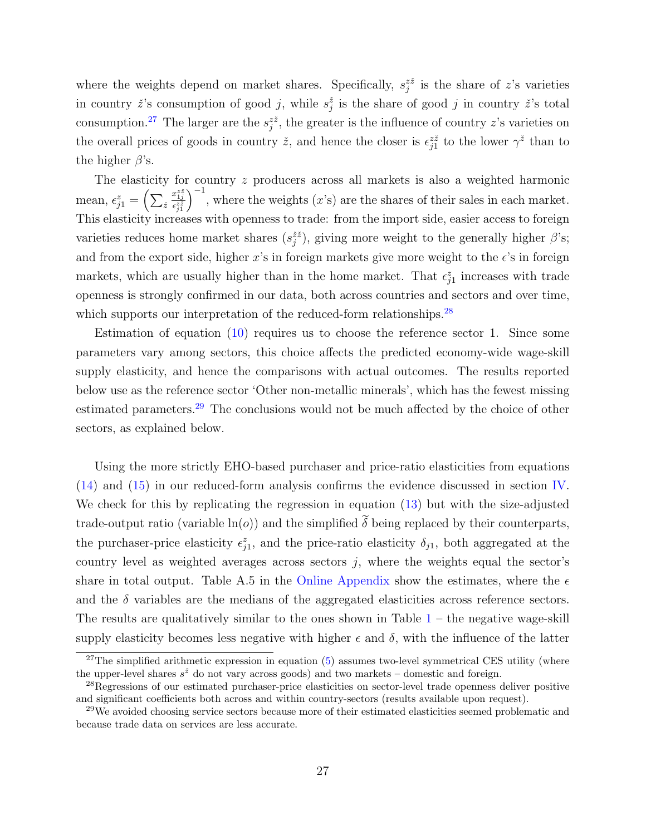where the weights depend on market shares. Specifically,  $s_j^{z\check{z}}$  is the share of z's varieties in country  $\check{z}$ 's consumption of good j, while  $s_j^{\check{z}}$  is the share of good j in country  $\check{z}$ 's total consumption.<sup>[27](#page-27-0)</sup> The larger are the  $s_j^{z\bar{z}}$ , the greater is the influence of country z's varieties on the overall prices of goods in country  $\check{z}$ , and hence the closer is  $\epsilon_{j1}^{z\check{z}}$  to the lower  $\gamma^{\check{z}}$  than to the higher  $\beta$ 's.

The elasticity for country z producers across all markets is also a weighted harmonic mean,  $\epsilon_{j1}^z = \left(\sum_{\breve{z}}\right)$  $\frac{x_1^z \check{z}}{\epsilon^z \check{z}}}{\epsilon^z \check{z}}$  $\int_{0}^{-1}$ , where the weights (x's) are the shares of their sales in each market. This elasticity increases with openness to trade: from the import side, easier access to foreign varieties reduces home market shares  $(s_j^{\tilde{z}\tilde{z}})$ , giving more weight to the generally higher  $\beta$ 's; and from the export side, higher x's in foreign markets give more weight to the  $\epsilon$ 's in foreign markets, which are usually higher than in the home market. That  $\epsilon_{j1}^z$  increases with trade openness is strongly confirmed in our data, both across countries and sectors and over time, which supports our interpretation of the reduced-form relationships.<sup>[28](#page-27-1)</sup>

Estimation of equation [\(10\)](#page-12-0) requires us to choose the reference sector 1. Since some parameters vary among sectors, this choice affects the predicted economy-wide wage-skill supply elasticity, and hence the comparisons with actual outcomes. The results reported below use as the reference sector 'Other non-metallic minerals', which has the fewest missing estimated parameters.<sup>[29](#page-27-2)</sup> The conclusions would not be much affected by the choice of other sectors, as explained below.

Using the more strictly EHO-based purchaser and price-ratio elasticities from equations [\(14\)](#page-25-1) and [\(15\)](#page-26-4) in our reduced-form analysis confirms the evidence discussed in section [IV.](#page-18-0) We check for this by replicating the regression in equation [\(13\)](#page-19-2) but with the size-adjusted trade-output ratio (variable  $\ln(o)$ ) and the simplified  $\tilde{\delta}$  being replaced by their counterparts, the purchaser-price elasticity  $\epsilon_{j1}^z$ , and the price-ratio elasticity  $\delta_{j1}$ , both aggregated at the country level as weighted averages across sectors  $j$ , where the weights equal the sector's share in total output. Table A.5 in the [Online Appendix](https://www.dropbox.com/s/ki6fgrx363apxpu/facprice_dec14OA.pdf?dl=0) show the estimates, where the  $\epsilon$ and the  $\delta$  variables are the medians of the aggregated elasticities across reference sectors. The results are qualitatively similar to the ones shown in Table  $1 1 -$  the negative wage-skill supply elasticity becomes less negative with higher  $\epsilon$  and  $\delta$ , with the influence of the latter

<span id="page-27-0"></span> $27$ The simplified arithmetic expression in equation [\(5\)](#page-9-0) assumes two-level symmetrical CES utility (where the upper-level shares  $s^{\check{z}}$  do not vary across goods) and two markets – domestic and foreign.

<span id="page-27-1"></span><sup>&</sup>lt;sup>28</sup>Regressions of our estimated purchaser-price elasticities on sector-level trade openness deliver positive and significant coefficients both across and within country-sectors (results available upon request).

<span id="page-27-2"></span><sup>&</sup>lt;sup>29</sup>We avoided choosing service sectors because more of their estimated elasticities seemed problematic and because trade data on services are less accurate.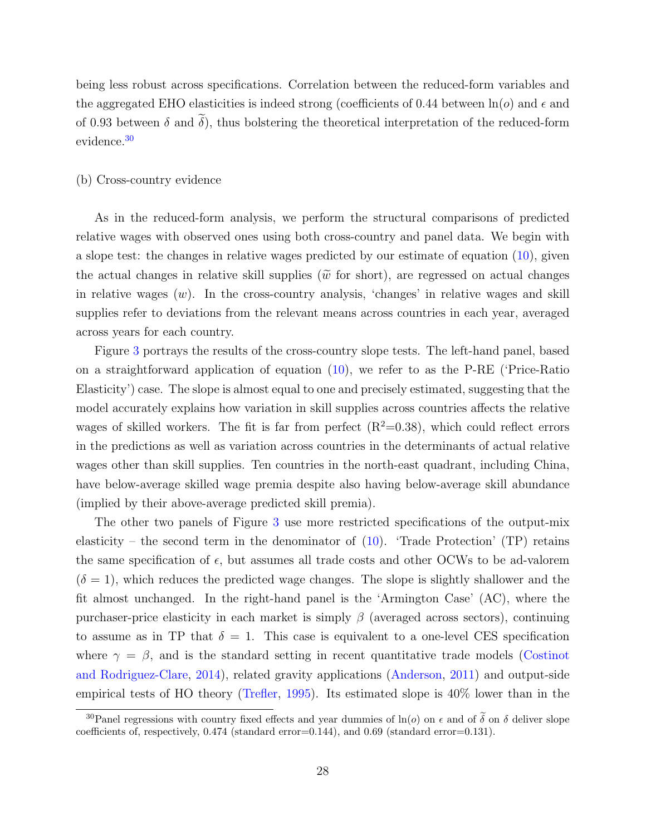being less robust across specifications. Correlation between the reduced-form variables and the aggregated EHO elasticities is indeed strong (coefficients of 0.44 between  $\ln(o)$  and  $\epsilon$  and of 0.93 between  $\delta$  and  $\tilde{\delta}$ ), thus bolstering the theoretical interpretation of the reduced-form evidence.[30](#page-28-0)

#### (b) Cross-country evidence

As in the reduced-form analysis, we perform the structural comparisons of predicted relative wages with observed ones using both cross-country and panel data. We begin with a slope test: the changes in relative wages predicted by our estimate of equation [\(10\)](#page-12-0), given the actual changes in relative skill supplies ( $\tilde{w}$  for short), are regressed on actual changes in relative wages  $(w)$ . In the cross-country analysis, 'changes' in relative wages and skill supplies refer to deviations from the relevant means across countries in each year, averaged across years for each country.

Figure [3](#page-29-0) portrays the results of the cross-country slope tests. The left-hand panel, based on a straightforward application of equation [\(10\)](#page-12-0), we refer to as the P-RE ('Price-Ratio Elasticity') case. The slope is almost equal to one and precisely estimated, suggesting that the model accurately explains how variation in skill supplies across countries affects the relative wages of skilled workers. The fit is far from perfect  $(R^2=0.38)$ , which could reflect errors in the predictions as well as variation across countries in the determinants of actual relative wages other than skill supplies. Ten countries in the north-east quadrant, including China, have below-average skilled wage premia despite also having below-average skill abundance (implied by their above-average predicted skill premia).

The other two panels of Figure [3](#page-29-0) use more restricted specifications of the output-mix elasticity – the second term in the denominator of  $(10)$ . 'Trade Protection' (TP) retains the same specification of  $\epsilon$ , but assumes all trade costs and other OCWs to be ad-valorem  $(\delta = 1)$ , which reduces the predicted wage changes. The slope is slightly shallower and the fit almost unchanged. In the right-hand panel is the 'Armington Case' (AC), where the purchaser-price elasticity in each market is simply  $\beta$  (averaged across sectors), continuing to assume as in TP that  $\delta = 1$ . This case is equivalent to a one-level CES specification where  $\gamma = \beta$ , and is the standard setting in recent quantitative trade models [\(Costinot](#page-41-2) [and Rodriguez-Clare,](#page-41-2) [2014\)](#page-41-2), related gravity applications [\(Anderson,](#page-39-13) [2011\)](#page-39-13) and output-side empirical tests of HO theory [\(Trefler,](#page-44-12) [1995\)](#page-44-12). Its estimated slope is 40% lower than in the

<span id="page-28-0"></span><sup>&</sup>lt;sup>30</sup>Panel regressions with country fixed effects and year dummies of ln(o) on  $\epsilon$  and of  $\tilde{\delta}$  on  $\delta$  deliver slope coefficients of, respectively, 0.474 (standard error=0.144), and 0.69 (standard error=0.131).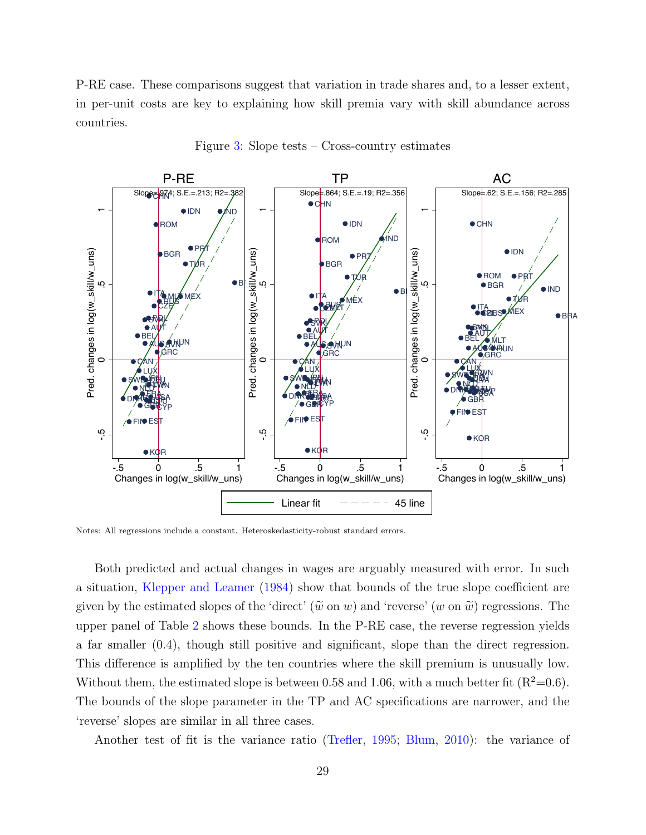P-RE case. These comparisons suggest that variation in trade shares and, to a lesser extent, in per-unit costs are key to explaining how skill premia vary with skill abundance across countries.

<span id="page-29-0"></span>

Figure [3:](#page-29-0) Slope tests – Cross-country estimates

Notes: All regressions include a constant. Heteroskedasticity-robust standard errors.

Both predicted and actual changes in wages are arguably measured with error. In such a situation, [Klepper and Leamer](#page-42-13) [\(1984\)](#page-42-13) show that bounds of the true slope coefficient are given by the estimated slopes of the 'direct' ( $\tilde{w}$  on w) and 'reverse' (w on  $\tilde{w}$ ) regressions. The upper panel of Table [2](#page-30-0) shows these bounds. In the P-RE case, the reverse regression yields a far smaller (0.4), though still positive and significant, slope than the direct regression. This difference is amplified by the ten countries where the skill premium is unusually low. Without them, the estimated slope is between 0.58 and 1.06, with a much better fit  $(R^2=0.6)$ . The bounds of the slope parameter in the TP and AC specifications are narrower, and the 'reverse' slopes are similar in all three cases.

Another test of fit is the variance ratio [\(Trefler,](#page-44-12) [1995;](#page-44-12) [Blum,](#page-40-2) [2010\)](#page-40-2): the variance of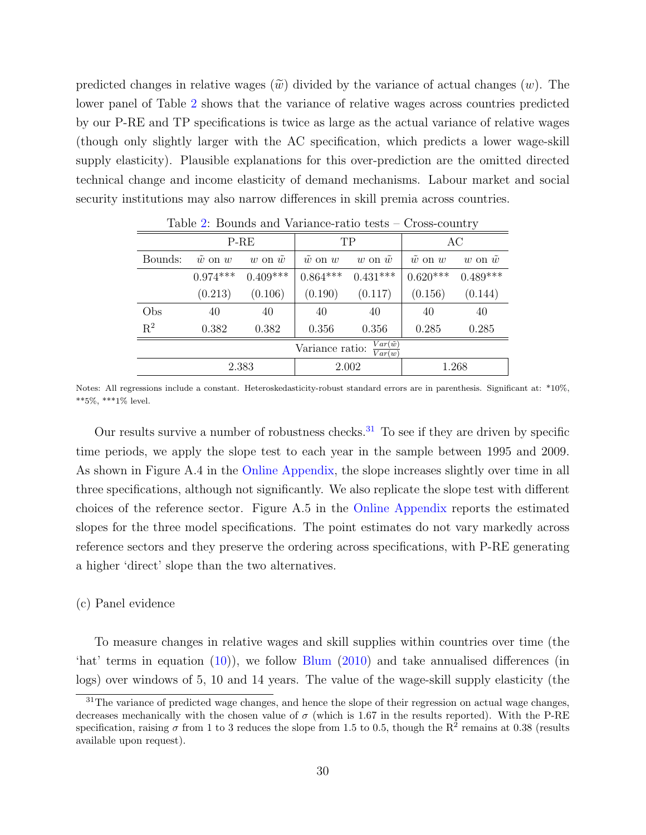predicted changes in relative wages  $(\tilde{w})$  divided by the variance of actual changes  $(w)$ . The lower panel of Table [2](#page-30-0) shows that the variance of relative wages across countries predicted by our P-RE and TP specifications is twice as large as the actual variance of relative wages (though only slightly larger with the AC specification, which predicts a lower wage-skill supply elasticity). Plausible explanations for this over-prediction are the omitted directed technical change and income elasticity of demand mechanisms. Labour market and social security institutions may also narrow differences in skill premia across countries.

<span id="page-30-0"></span>

|                                                            | $P-RE$             |                  |                    | TP               | AC                    |                    |  |
|------------------------------------------------------------|--------------------|------------------|--------------------|------------------|-----------------------|--------------------|--|
| Bounds:                                                    | $\tilde{w}$ on $w$ | w on $\tilde{w}$ | $\tilde{w}$ on $w$ | w on $\tilde{w}$ | $\tilde{w}$ on $w$    | $w$ on $\tilde{w}$ |  |
|                                                            | $0.974***$         | $0.409***$       | $0.864***$         | $0.431***$       | $0.620***$ $0.489***$ |                    |  |
|                                                            | (0.213)            | (0.106)          | (0.190)            | (0.117)          | (0.156)               | (0.144)            |  |
| Obs                                                        | 40                 | 40               | 40                 | 40               | 40                    | 40                 |  |
| $\mathrm{R}^2$                                             | 0.382              | 0.382            | 0.356              | 0.356            | 0.285                 | 0.285              |  |
| $Var(\tilde{w})$<br>Variance ratio:<br>$\overline{Var}(w)$ |                    |                  |                    |                  |                       |                    |  |
|                                                            |                    | 2.383            |                    | 2.002            | 1.268                 |                    |  |

Table [2:](#page-30-0) Bounds and Variance-ratio tests – Cross-country

Notes: All regressions include a constant. Heteroskedasticity-robust standard errors are in parenthesis. Significant at: \*10%,  $***5\%,$  \*\*\*1% level.

Our results survive a number of robustness checks.<sup>[31](#page-30-1)</sup> To see if they are driven by specific time periods, we apply the slope test to each year in the sample between 1995 and 2009. As shown in Figure A.4 in the [Online Appendix,](https://www.dropbox.com/s/ki6fgrx363apxpu/facprice_dec14OA.pdf?dl=0) the slope increases slightly over time in all three specifications, although not significantly. We also replicate the slope test with different choices of the reference sector. Figure A.5 in the [Online Appendix](https://www.dropbox.com/s/ki6fgrx363apxpu/facprice_dec14OA.pdf?dl=0) reports the estimated slopes for the three model specifications. The point estimates do not vary markedly across reference sectors and they preserve the ordering across specifications, with P-RE generating a higher 'direct' slope than the two alternatives.

#### (c) Panel evidence

To measure changes in relative wages and skill supplies within countries over time (the 'hat' terms in equation [\(10\)](#page-12-0)), we follow [Blum](#page-40-2) [\(2010\)](#page-40-2) and take annualised differences (in logs) over windows of 5, 10 and 14 years. The value of the wage-skill supply elasticity (the

<span id="page-30-1"></span> $31$ The variance of predicted wage changes, and hence the slope of their regression on actual wage changes, decreases mechanically with the chosen value of  $\sigma$  (which is 1.67 in the results reported). With the P-RE specification, raising  $\sigma$  from 1 to 3 reduces the slope from 1.5 to 0.5, though the R<sup>2</sup> remains at 0.38 (results available upon request).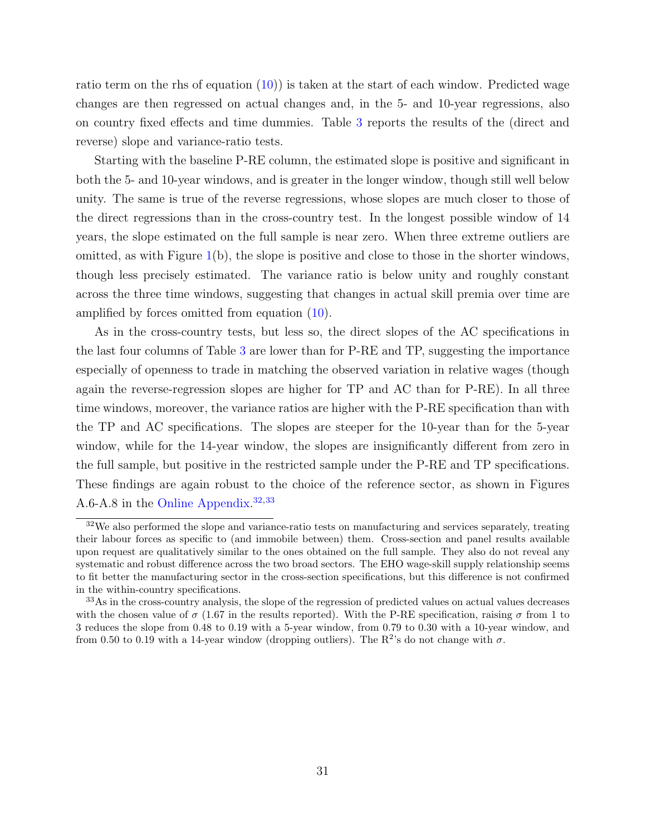ratio term on the rhs of equation  $(10)$  is taken at the start of each window. Predicted wage changes are then regressed on actual changes and, in the 5- and 10-year regressions, also on country fixed effects and time dummies. Table [3](#page-32-0) reports the results of the (direct and reverse) slope and variance-ratio tests.

Starting with the baseline P-RE column, the estimated slope is positive and significant in both the 5- and 10-year windows, and is greater in the longer window, though still well below unity. The same is true of the reverse regressions, whose slopes are much closer to those of the direct regressions than in the cross-country test. In the longest possible window of 14 years, the slope estimated on the full sample is near zero. When three extreme outliers are omitted, as with Figure  $1(b)$  $1(b)$ , the slope is positive and close to those in the shorter windows, though less precisely estimated. The variance ratio is below unity and roughly constant across the three time windows, suggesting that changes in actual skill premia over time are amplified by forces omitted from equation [\(10\)](#page-12-0).

As in the cross-country tests, but less so, the direct slopes of the AC specifications in the last four columns of Table [3](#page-32-0) are lower than for P-RE and TP, suggesting the importance especially of openness to trade in matching the observed variation in relative wages (though again the reverse-regression slopes are higher for TP and AC than for P-RE). In all three time windows, moreover, the variance ratios are higher with the P-RE specification than with the TP and AC specifications. The slopes are steeper for the 10-year than for the 5-year window, while for the 14-year window, the slopes are insignificantly different from zero in the full sample, but positive in the restricted sample under the P-RE and TP specifications. These findings are again robust to the choice of the reference sector, as shown in Figures A.6-A.8 in the [Online Appendix.](https://www.dropbox.com/s/ki6fgrx363apxpu/facprice_dec14OA.pdf?dl=0) [32](#page-31-0),[33](#page-31-1)

<span id="page-31-0"></span><sup>&</sup>lt;sup>32</sup>We also performed the slope and variance-ratio tests on manufacturing and services separately, treating their labour forces as specific to (and immobile between) them. Cross-section and panel results available upon request are qualitatively similar to the ones obtained on the full sample. They also do not reveal any systematic and robust difference across the two broad sectors. The EHO wage-skill supply relationship seems to fit better the manufacturing sector in the cross-section specifications, but this difference is not confirmed in the within-country specifications.

<span id="page-31-1"></span><sup>&</sup>lt;sup>33</sup>As in the cross-country analysis, the slope of the regression of predicted values on actual values decreases with the chosen value of  $\sigma$  (1.67 in the results reported). With the P-RE specification, raising  $\sigma$  from 1 to 3 reduces the slope from 0.48 to 0.19 with a 5-year window, from 0.79 to 0.30 with a 10-year window, and from 0.50 to 0.19 with a 14-year window (dropping outliers). The  $R^2$ 's do not change with  $\sigma$ .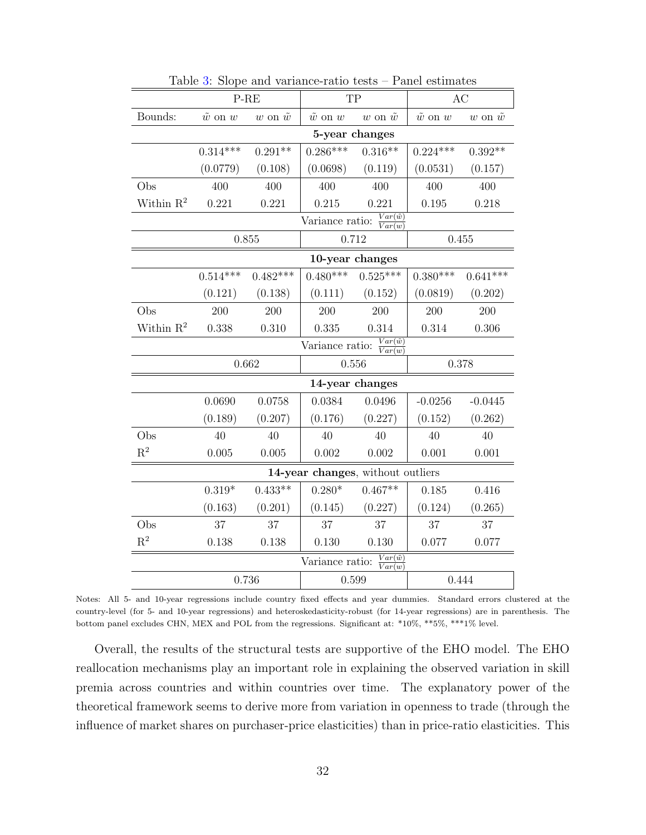<span id="page-32-0"></span>

|                       |                                                                  | $P-RE$             | TP                 |                  | AC                 |                  |  |  |
|-----------------------|------------------------------------------------------------------|--------------------|--------------------|------------------|--------------------|------------------|--|--|
| Bounds:               | $\tilde w$ on $w$                                                | $w$ on $\tilde{w}$ | $\tilde{w}$ on $w$ | w on $\tilde{w}$ | $\tilde{w}$ on $w$ | w on $\tilde{w}$ |  |  |
|                       | 5-year changes                                                   |                    |                    |                  |                    |                  |  |  |
|                       | $0.314***$                                                       | $0.291**$          | $0.286***$         | $0.316**$        | $0.224***$         | $0.392**$        |  |  |
|                       | (0.0779)                                                         | (0.108)            | (0.0698)           | (0.119)          | (0.0531)           | (0.157)          |  |  |
| Obs                   | 400                                                              | 400                | 400                | 400              | 400                | 400              |  |  |
| Within $\mathbb{R}^2$ | 0.221                                                            | 0.221              | 0.215              |                  | 0.195              | 0.218            |  |  |
|                       | $Var(\tilde{w})$<br>Variance ratio:<br>$\overline{Var(w)}$       |                    |                    |                  |                    |                  |  |  |
|                       |                                                                  | 0.855              | 0.712              |                  | 0.455              |                  |  |  |
|                       | 10-year changes                                                  |                    |                    |                  |                    |                  |  |  |
|                       | $0.514***$                                                       | $0.482***$         | $0.480***$         | $0.525***$       | $0.380***$         | $0.641***$       |  |  |
|                       | (0.121)                                                          | (0.138)            | (0.111)            | (0.152)          | (0.0819)           | (0.202)          |  |  |
| Obs                   | 200                                                              | 200                | 200                | 200              | 200                | 200              |  |  |
| Within $\mathbb{R}^2$ | 0.338                                                            | 0.310              | 0.335              | 0.314            | 0.314              | 0.306            |  |  |
|                       | $Var(\tilde{w})$<br>Variance ratio:<br>Var(w)                    |                    |                    |                  |                    |                  |  |  |
|                       |                                                                  | 0.662              | 0.556              |                  | 0.378              |                  |  |  |
|                       | 14-year changes                                                  |                    |                    |                  |                    |                  |  |  |
|                       | 0.0690                                                           | 0.0758             | 0.0384             | 0.0496           | $-0.0256$          | $-0.0445$        |  |  |
|                       | (0.189)                                                          | (0.207)            | (0.176)            | (0.227)          | (0.152)            | (0.262)          |  |  |
| Obs                   | 40                                                               | 40                 | 40                 | 40               | 40                 | 40               |  |  |
| $\mathbf{R}^2$        | 0.005                                                            | 0.005              | 0.002              | 0.002            | 0.001              | 0.001            |  |  |
|                       | 14-year changes, without outliers                                |                    |                    |                  |                    |                  |  |  |
|                       | $0.319*$                                                         | $0.433**$          | $0.280*$           | $0.467**$        | 0.185              | 0.416            |  |  |
|                       | (0.163)                                                          | (0.201)            | (0.145)            | (0.227)          | (0.124)            | (0.265)          |  |  |
| Obs                   | 37                                                               | 37                 | 37                 | 37               | 37                 | 37               |  |  |
| $R^2$                 | 0.138                                                            | 0.138              | 0.130              | 0.130            | 0.077              | 0.077            |  |  |
|                       | $Var(\tilde{w})$<br>Variance ratio:<br>$\overrightarrow{Var(w)}$ |                    |                    |                  |                    |                  |  |  |
|                       |                                                                  | 0.736              | 0.599              |                  | 0.444              |                  |  |  |

Table [3:](#page-32-0) Slope and variance-ratio tests – Panel estimates

Notes: All 5- and 10-year regressions include country fixed effects and year dummies. Standard errors clustered at the country-level (for 5- and 10-year regressions) and heteroskedasticity-robust (for 14-year regressions) are in parenthesis. The bottom panel excludes CHN, MEX and POL from the regressions. Significant at: \*10%, \*\*5%, \*\*\*1% level.

Overall, the results of the structural tests are supportive of the EHO model. The EHO reallocation mechanisms play an important role in explaining the observed variation in skill premia across countries and within countries over time. The explanatory power of the theoretical framework seems to derive more from variation in openness to trade (through the influence of market shares on purchaser-price elasticities) than in price-ratio elasticities. This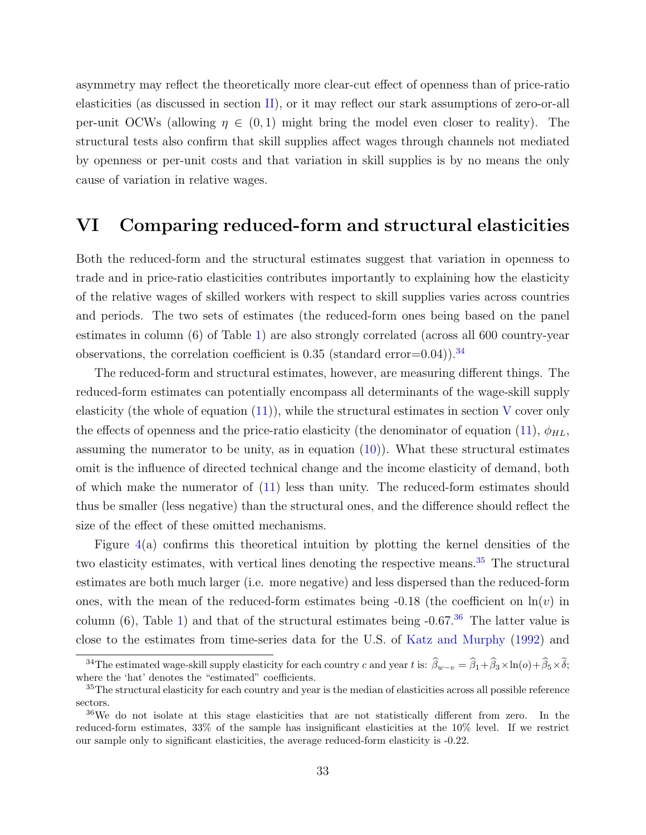asymmetry may reflect the theoretically more clear-cut effect of openness than of price-ratio elasticities (as discussed in section [II\)](#page-7-0), or it may reflect our stark assumptions of zero-or-all per-unit OCWs (allowing  $\eta \in (0,1)$  might bring the model even closer to reality). The structural tests also confirm that skill supplies affect wages through channels not mediated by openness or per-unit costs and that variation in skill supplies is by no means the only cause of variation in relative wages.

### <span id="page-33-0"></span>VI Comparing reduced-form and structural elasticities

Both the reduced-form and the structural estimates suggest that variation in openness to trade and in price-ratio elasticities contributes importantly to explaining how the elasticity of the relative wages of skilled workers with respect to skill supplies varies across countries and periods. The two sets of estimates (the reduced-form ones being based on the panel estimates in column (6) of Table [1\)](#page-22-0) are also strongly correlated (across all 600 country-year observations, the correlation coefficient is  $0.35$  (standard error=0.04)).<sup>[34](#page-33-1)</sup>

The reduced-form and structural estimates, however, are measuring different things. The reduced-form estimates can potentially encompass all determinants of the wage-skill supply elasticity (the whole of equation  $(11)$ ), while the structural estimates in section [V](#page-25-0) cover only the effects of openness and the price-ratio elasticity (the denominator of equation [\(11\)](#page-14-2),  $\phi_{HL}$ , assuming the numerator to be unity, as in equation  $(10)$ ). What these structural estimates omit is the influence of directed technical change and the income elasticity of demand, both of which make the numerator of [\(11\)](#page-14-2) less than unity. The reduced-form estimates should thus be smaller (less negative) than the structural ones, and the difference should reflect the size of the effect of these omitted mechanisms.

Figure  $4(a)$  $4(a)$  confirms this theoretical intuition by plotting the kernel densities of the two elasticity estimates, with vertical lines denoting the respective means.<sup>[35](#page-33-2)</sup> The structural estimates are both much larger (i.e. more negative) and less dispersed than the reduced-form ones, with the mean of the reduced-form estimates being  $-0.18$  (the coefficient on  $\ln(v)$  in column (6), Table [1\)](#page-22-0) and that of the structural estimates being  $-0.67<sup>36</sup>$  $-0.67<sup>36</sup>$  $-0.67<sup>36</sup>$  The latter value is close to the estimates from time-series data for the U.S. of [Katz and Murphy](#page-42-2) [\(1992\)](#page-42-2) and

<span id="page-33-1"></span><sup>&</sup>lt;sup>34</sup>The estimated wage-skill supply elasticity for each country c and year t is:  $\hat{\beta}_{w-v} = \hat{\beta}_1 + \hat{\beta}_3 \times \ln(o) + \hat{\beta}_5 \times \tilde{\delta}$ ; where the 'hat' denotes the "estimated" coefficients.

<span id="page-33-2"></span><sup>&</sup>lt;sup>35</sup>The structural elasticity for each country and year is the median of elasticities across all possible reference sectors.

<span id="page-33-3"></span><sup>&</sup>lt;sup>36</sup>We do not isolate at this stage elasticities that are not statistically different from zero. In the reduced-form estimates, 33% of the sample has insignificant elasticities at the 10% level. If we restrict our sample only to significant elasticities, the average reduced-form elasticity is -0.22.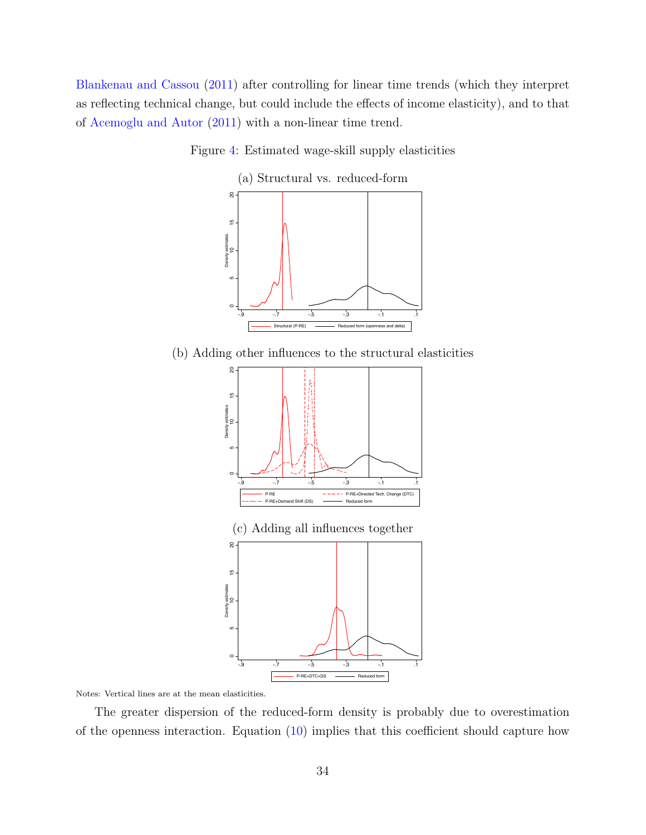<span id="page-34-0"></span>[Blankenau and Cassou](#page-40-1) [\(2011\)](#page-40-1) after controlling for linear time trends (which they interpret as reflecting technical change, but could include the effects of income elasticity), and to that of [Acemoglu and Autor](#page-39-3) [\(2011\)](#page-39-3) with a non-linear time trend.



(a) Structural vs. reduced-form



(b) Adding other influences to the structural elasticities





The greater dispersion of the reduced-form density is probably due to overestimation of the openness interaction. Equation [\(10\)](#page-12-0) implies that this coefficient should capture how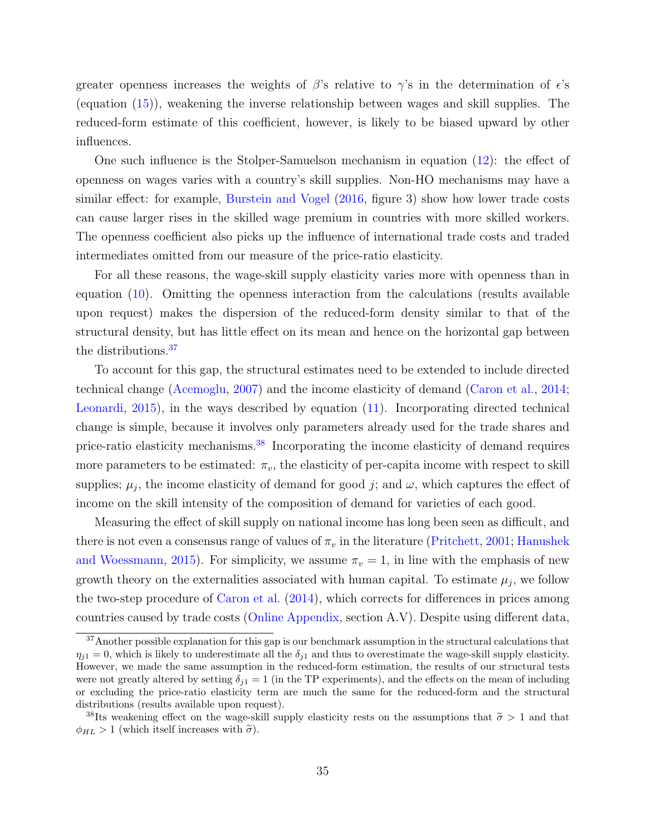greater openness increases the weights of  $\beta$ 's relative to  $\gamma$ 's in the determination of  $\epsilon$ 's (equation [\(15\)](#page-26-4)), weakening the inverse relationship between wages and skill supplies. The reduced-form estimate of this coefficient, however, is likely to be biased upward by other influences.

One such influence is the Stolper-Samuelson mechanism in equation [\(12\)](#page-15-2): the effect of openness on wages varies with a country's skill supplies. Non-HO mechanisms may have a similar effect: for example, [Burstein and Vogel](#page-40-7) [\(2016,](#page-40-7) figure 3) show how lower trade costs can cause larger rises in the skilled wage premium in countries with more skilled workers. The openness coefficient also picks up the influence of international trade costs and traded intermediates omitted from our measure of the price-ratio elasticity.

For all these reasons, the wage-skill supply elasticity varies more with openness than in equation [\(10\)](#page-12-0). Omitting the openness interaction from the calculations (results available upon request) makes the dispersion of the reduced-form density similar to that of the structural density, but has little effect on its mean and hence on the horizontal gap between the distributions.[37](#page-35-0)

To account for this gap, the structural estimates need to be extended to include directed technical change [\(Acemoglu,](#page-39-4) [2007\)](#page-39-4) and the income elasticity of demand [\(Caron et al.,](#page-40-5) [2014;](#page-40-5) [Leonardi,](#page-43-11) [2015\)](#page-43-11), in the ways described by equation [\(11\)](#page-14-2). Incorporating directed technical change is simple, because it involves only parameters already used for the trade shares and price-ratio elasticity mechanisms.<sup>[38](#page-35-1)</sup> Incorporating the income elasticity of demand requires more parameters to be estimated:  $\pi_v$ , the elasticity of per-capita income with respect to skill supplies;  $\mu_j$ , the income elasticity of demand for good j; and  $\omega$ , which captures the effect of income on the skill intensity of the composition of demand for varieties of each good.

Measuring the effect of skill supply on national income has long been seen as difficult, and there is not even a consensus range of values of  $\pi_v$  in the literature [\(Pritchett,](#page-43-12) [2001;](#page-43-12) [Hanushek](#page-41-13) [and Woessmann,](#page-41-13) [2015\)](#page-41-13). For simplicity, we assume  $\pi_v = 1$ , in line with the emphasis of new growth theory on the externalities associated with human capital. To estimate  $\mu_j$ , we follow the two-step procedure of [Caron et al.](#page-40-5) [\(2014\)](#page-40-5), which corrects for differences in prices among countries caused by trade costs [\(Online Appendix,](https://www.dropbox.com/s/ki6fgrx363apxpu/facprice_dec14OA.pdf?dl=0) section A.V). Despite using different data,

<span id="page-35-0"></span><sup>&</sup>lt;sup>37</sup>Another possible explanation for this gap is our benchmark assumption in the structural calculations that  $\eta_{j1} = 0$ , which is likely to underestimate all the  $\delta_{j1}$  and thus to overestimate the wage-skill supply elasticity. However, we made the same assumption in the reduced-form estimation, the results of our structural tests were not greatly altered by setting  $\delta_{i1} = 1$  (in the TP experiments), and the effects on the mean of including or excluding the price-ratio elasticity term are much the same for the reduced-form and the structural distributions (results available upon request).

<span id="page-35-1"></span><sup>&</sup>lt;sup>38</sup>Its weakening effect on the wage-skill supply elasticity rests on the assumptions that  $\tilde{\sigma} > 1$  and that  $\phi_{HL} > 1$  (which itself increases with  $\tilde{\sigma}$ ).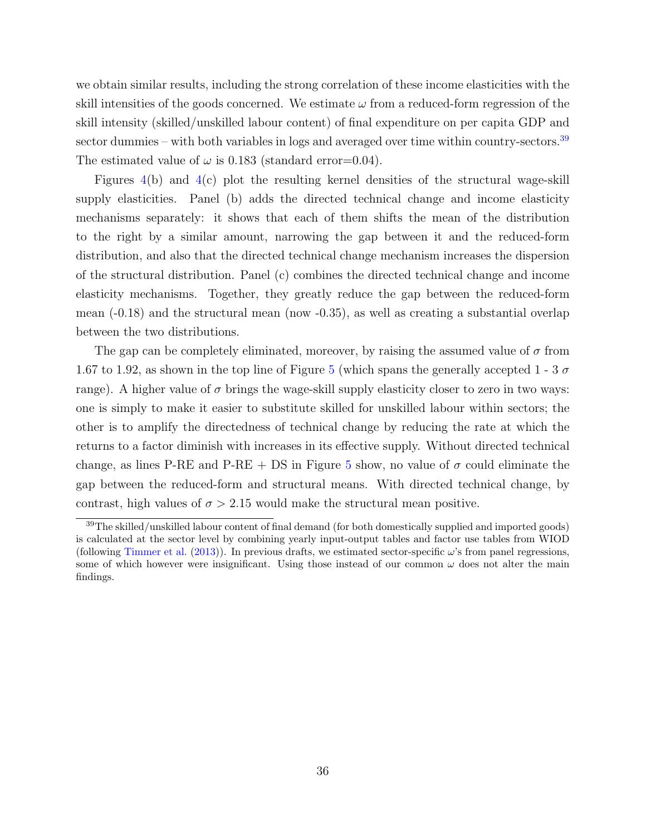we obtain similar results, including the strong correlation of these income elasticities with the skill intensities of the goods concerned. We estimate  $\omega$  from a reduced-form regression of the skill intensity (skilled/unskilled labour content) of final expenditure on per capita GDP and sector dummies – with both variables in logs and averaged over time within country-sectors.<sup>[39](#page-36-0)</sup> The estimated value of  $\omega$  is 0.183 (standard error=0.04).

Figures [4\(](#page-34-0)b) and [4\(](#page-34-0)c) plot the resulting kernel densities of the structural wage-skill supply elasticities. Panel (b) adds the directed technical change and income elasticity mechanisms separately: it shows that each of them shifts the mean of the distribution to the right by a similar amount, narrowing the gap between it and the reduced-form distribution, and also that the directed technical change mechanism increases the dispersion of the structural distribution. Panel (c) combines the directed technical change and income elasticity mechanisms. Together, they greatly reduce the gap between the reduced-form mean  $(-0.18)$  and the structural mean (now  $-0.35$ ), as well as creating a substantial overlap between the two distributions.

The gap can be completely eliminated, moreover, by raising the assumed value of  $\sigma$  from 1.67 to 1.92, as shown in the top line of Figure [5](#page-37-1) (which spans the generally accepted 1 - 3  $\sigma$ range). A higher value of  $\sigma$  brings the wage-skill supply elasticity closer to zero in two ways: one is simply to make it easier to substitute skilled for unskilled labour within sectors; the other is to amplify the directedness of technical change by reducing the rate at which the returns to a factor diminish with increases in its effective supply. Without directed technical change, as lines P-RE and P-RE + DS in Figure [5](#page-37-1) show, no value of  $\sigma$  could eliminate the gap between the reduced-form and structural means. With directed technical change, by contrast, high values of  $\sigma > 2.15$  would make the structural mean positive.

<span id="page-36-0"></span><sup>39</sup>The skilled/unskilled labour content of final demand (for both domestically supplied and imported goods) is calculated at the sector level by combining yearly input-output tables and factor use tables from WIOD (following [Timmer et al.](#page-44-13) [\(2013\)](#page-44-13)). In previous drafts, we estimated sector-specific  $\omega$ 's from panel regressions, some of which however were insignificant. Using those instead of our common  $\omega$  does not alter the main findings.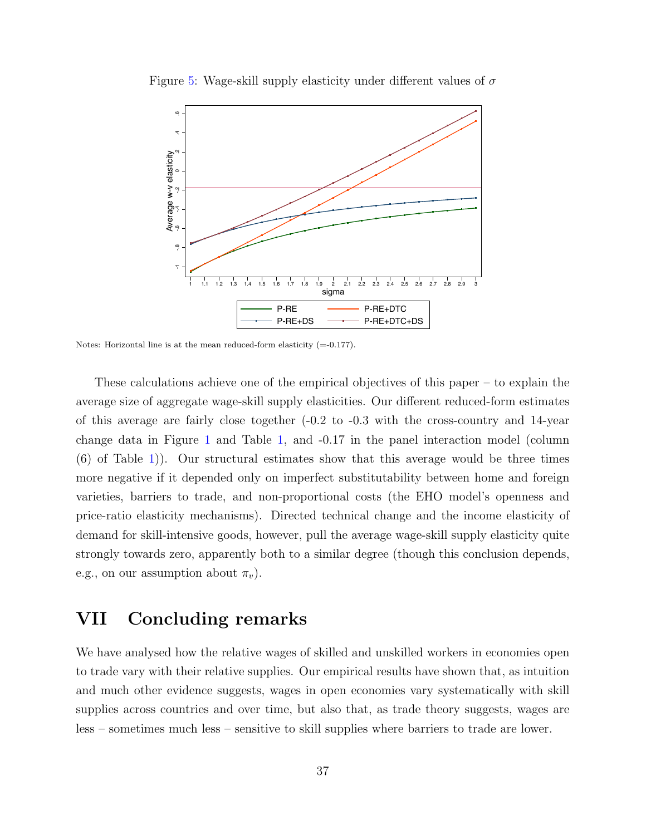

<span id="page-37-1"></span>Figure [5:](#page-37-1) Wage-skill supply elasticity under different values of  $\sigma$ 

Notes: Horizontal line is at the mean reduced-form elasticity  $(=0.177)$ .

These calculations achieve one of the empirical objectives of this paper – to explain the average size of aggregate wage-skill supply elasticities. Our different reduced-form estimates of this average are fairly close together  $(-0.2 \text{ to } -0.3 \text{ with the cross-country and } 14$ -year change data in Figure [1](#page-3-0) and Table [1,](#page-22-0) and -0.17 in the panel interaction model (column (6) of Table [1\)](#page-22-0)). Our structural estimates show that this average would be three times more negative if it depended only on imperfect substitutability between home and foreign varieties, barriers to trade, and non-proportional costs (the EHO model's openness and price-ratio elasticity mechanisms). Directed technical change and the income elasticity of demand for skill-intensive goods, however, pull the average wage-skill supply elasticity quite strongly towards zero, apparently both to a similar degree (though this conclusion depends, e.g., on our assumption about  $\pi_v$ ).

### <span id="page-37-0"></span>VII Concluding remarks

We have analysed how the relative wages of skilled and unskilled workers in economies open to trade vary with their relative supplies. Our empirical results have shown that, as intuition and much other evidence suggests, wages in open economies vary systematically with skill supplies across countries and over time, but also that, as trade theory suggests, wages are less – sometimes much less – sensitive to skill supplies where barriers to trade are lower.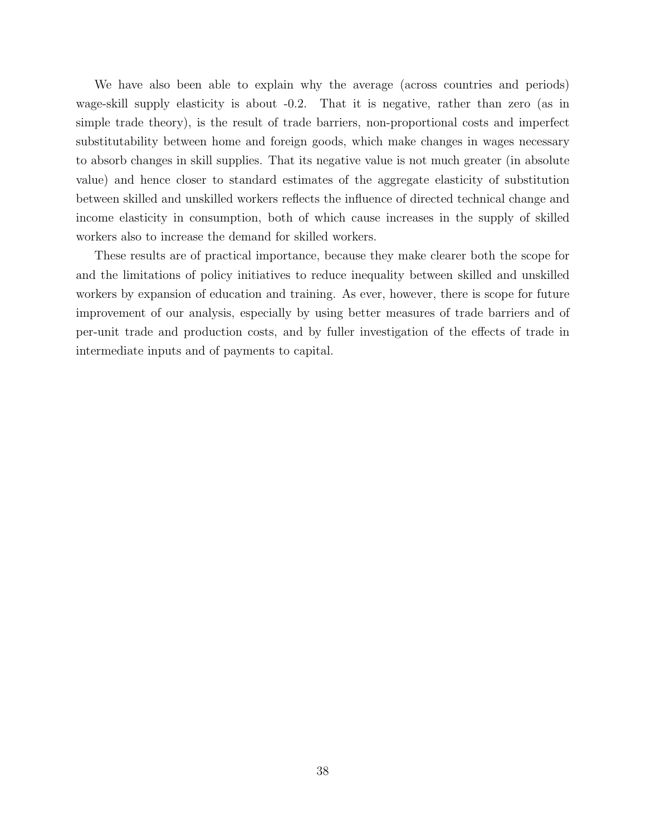We have also been able to explain why the average (across countries and periods) wage-skill supply elasticity is about -0.2. That it is negative, rather than zero (as in simple trade theory), is the result of trade barriers, non-proportional costs and imperfect substitutability between home and foreign goods, which make changes in wages necessary to absorb changes in skill supplies. That its negative value is not much greater (in absolute value) and hence closer to standard estimates of the aggregate elasticity of substitution between skilled and unskilled workers reflects the influence of directed technical change and income elasticity in consumption, both of which cause increases in the supply of skilled workers also to increase the demand for skilled workers.

These results are of practical importance, because they make clearer both the scope for and the limitations of policy initiatives to reduce inequality between skilled and unskilled workers by expansion of education and training. As ever, however, there is scope for future improvement of our analysis, especially by using better measures of trade barriers and of per-unit trade and production costs, and by fuller investigation of the effects of trade in intermediate inputs and of payments to capital.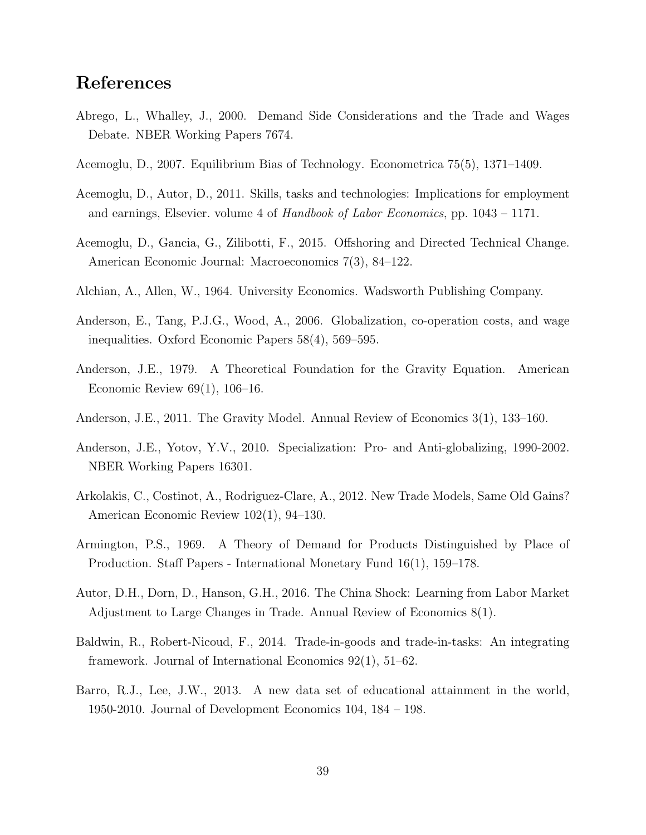## References

- <span id="page-39-9"></span>Abrego, L., Whalley, J., 2000. Demand Side Considerations and the Trade and Wages Debate. NBER Working Papers 7674.
- <span id="page-39-4"></span>Acemoglu, D., 2007. Equilibrium Bias of Technology. Econometrica 75(5), 1371–1409.
- <span id="page-39-3"></span>Acemoglu, D., Autor, D., 2011. Skills, tasks and technologies: Implications for employment and earnings, Elsevier. volume 4 of Handbook of Labor Economics, pp. 1043 – 1171.
- <span id="page-39-8"></span>Acemoglu, D., Gancia, G., Zilibotti, F., 2015. Offshoring and Directed Technical Change. American Economic Journal: Macroeconomics 7(3), 84–122.
- <span id="page-39-5"></span>Alchian, A., Allen, W., 1964. University Economics. Wadsworth Publishing Company.
- <span id="page-39-6"></span>Anderson, E., Tang, P.J.G., Wood, A., 2006. Globalization, co-operation costs, and wage inequalities. Oxford Economic Papers 58(4), 569–595.
- <span id="page-39-1"></span>Anderson, J.E., 1979. A Theoretical Foundation for the Gravity Equation. American Economic Review 69(1), 106–16.
- <span id="page-39-13"></span>Anderson, J.E., 2011. The Gravity Model. Annual Review of Economics 3(1), 133–160.
- <span id="page-39-11"></span>Anderson, J.E., Yotov, Y.V., 2010. Specialization: Pro- and Anti-globalizing, 1990-2002. NBER Working Papers 16301.
- <span id="page-39-2"></span>Arkolakis, C., Costinot, A., Rodriguez-Clare, A., 2012. New Trade Models, Same Old Gains? American Economic Review 102(1), 94–130.
- <span id="page-39-0"></span>Armington, P.S., 1969. A Theory of Demand for Products Distinguished by Place of Production. Staff Papers - International Monetary Fund 16(1), 159–178.
- <span id="page-39-12"></span>Autor, D.H., Dorn, D., Hanson, G.H., 2016. The China Shock: Learning from Labor Market Adjustment to Large Changes in Trade. Annual Review of Economics 8(1).
- <span id="page-39-7"></span>Baldwin, R., Robert-Nicoud, F., 2014. Trade-in-goods and trade-in-tasks: An integrating framework. Journal of International Economics 92(1), 51–62.
- <span id="page-39-10"></span>Barro, R.J., Lee, J.W., 2013. A new data set of educational attainment in the world, 1950-2010. Journal of Development Economics 104, 184 – 198.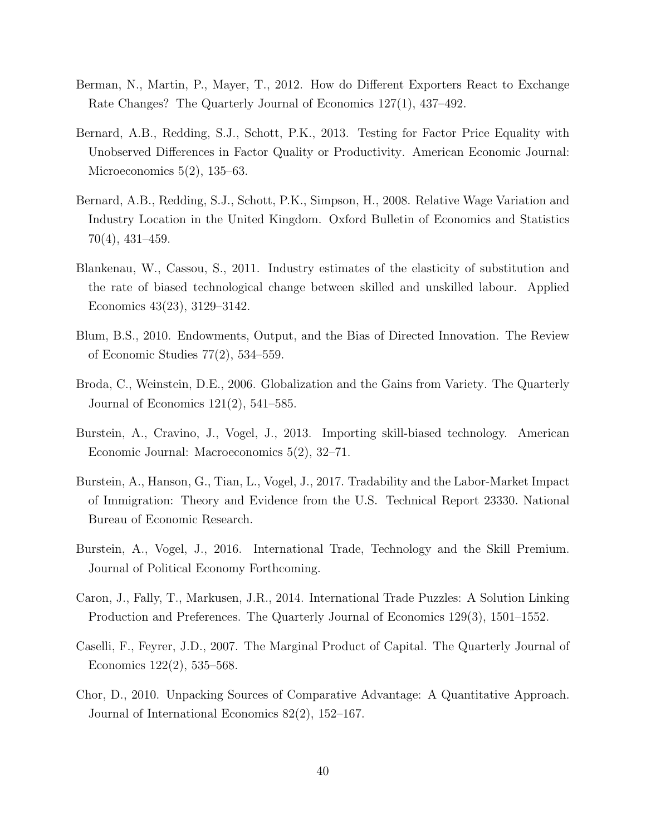- <span id="page-40-8"></span>Berman, N., Martin, P., Mayer, T., 2012. How do Different Exporters React to Exchange Rate Changes? The Quarterly Journal of Economics 127(1), 437–492.
- <span id="page-40-4"></span>Bernard, A.B., Redding, S.J., Schott, P.K., 2013. Testing for Factor Price Equality with Unobserved Differences in Factor Quality or Productivity. American Economic Journal: Microeconomics 5(2), 135–63.
- <span id="page-40-3"></span>Bernard, A.B., Redding, S.J., Schott, P.K., Simpson, H., 2008. Relative Wage Variation and Industry Location in the United Kingdom. Oxford Bulletin of Economics and Statistics 70(4), 431–459.
- <span id="page-40-1"></span>Blankenau, W., Cassou, S., 2011. Industry estimates of the elasticity of substitution and the rate of biased technological change between skilled and unskilled labour. Applied Economics 43(23), 3129–3142.
- <span id="page-40-2"></span>Blum, B.S., 2010. Endowments, Output, and the Bias of Directed Innovation. The Review of Economic Studies 77(2), 534–559.
- <span id="page-40-11"></span>Broda, C., Weinstein, D.E., 2006. Globalization and the Gains from Variety. The Quarterly Journal of Economics 121(2), 541–585.
- <span id="page-40-10"></span>Burstein, A., Cravino, J., Vogel, J., 2013. Importing skill-biased technology. American Economic Journal: Macroeconomics 5(2), 32–71.
- <span id="page-40-0"></span>Burstein, A., Hanson, G., Tian, L., Vogel, J., 2017. Tradability and the Labor-Market Impact of Immigration: Theory and Evidence from the U.S. Technical Report 23330. National Bureau of Economic Research.
- <span id="page-40-7"></span>Burstein, A., Vogel, J., 2016. International Trade, Technology and the Skill Premium. Journal of Political Economy Forthcoming.
- <span id="page-40-5"></span>Caron, J., Fally, T., Markusen, J.R., 2014. International Trade Puzzles: A Solution Linking Production and Preferences. The Quarterly Journal of Economics 129(3), 1501–1552.
- <span id="page-40-9"></span>Caselli, F., Feyrer, J.D., 2007. The Marginal Product of Capital. The Quarterly Journal of Economics 122(2), 535–568.
- <span id="page-40-6"></span>Chor, D., 2010. Unpacking Sources of Comparative Advantage: A Quantitative Approach. Journal of International Economics 82(2), 152–167.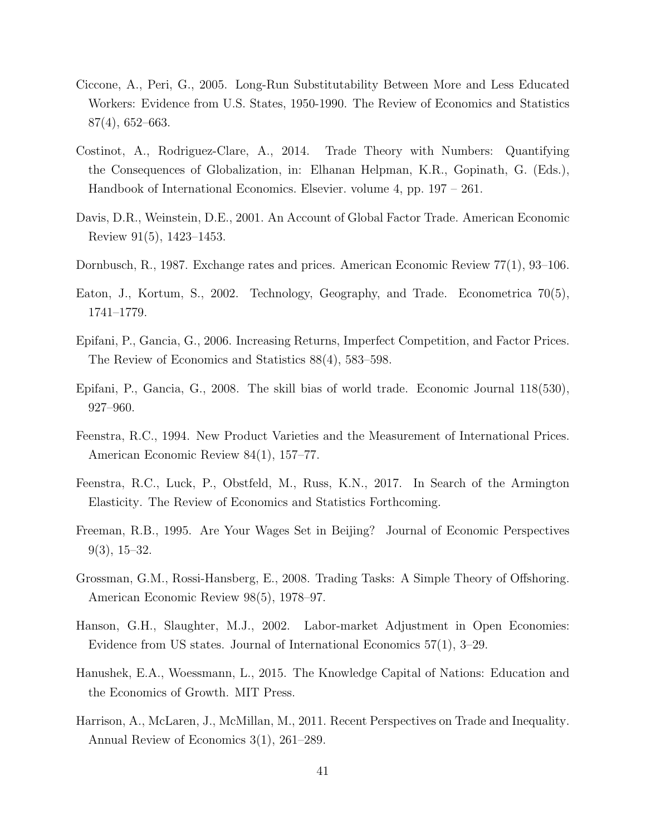- <span id="page-41-5"></span>Ciccone, A., Peri, G., 2005. Long-Run Substitutability Between More and Less Educated Workers: Evidence from U.S. States, 1950-1990. The Review of Economics and Statistics 87(4), 652–663.
- <span id="page-41-2"></span>Costinot, A., Rodriguez-Clare, A., 2014. Trade Theory with Numbers: Quantifying the Consequences of Globalization, in: Elhanan Helpman, K.R., Gopinath, G. (Eds.), Handbook of International Economics. Elsevier. volume 4, pp. 197 – 261.
- <span id="page-41-3"></span>Davis, D.R., Weinstein, D.E., 2001. An Account of Global Factor Trade. American Economic Review 91(5), 1423–1453.
- <span id="page-41-11"></span>Dornbusch, R., 1987. Exchange rates and prices. American Economic Review 77(1), 93–106.
- <span id="page-41-1"></span>Eaton, J., Kortum, S., 2002. Technology, Geography, and Trade. Econometrica 70(5), 1741–1779.
- <span id="page-41-6"></span>Epifani, P., Gancia, G., 2006. Increasing Returns, Imperfect Competition, and Factor Prices. The Review of Economics and Statistics 88(4), 583–598.
- <span id="page-41-7"></span>Epifani, P., Gancia, G., 2008. The skill bias of world trade. Economic Journal 118(530), 927–960.
- <span id="page-41-12"></span>Feenstra, R.C., 1994. New Product Varieties and the Measurement of International Prices. American Economic Review 84(1), 157–77.
- <span id="page-41-10"></span>Feenstra, R.C., Luck, P., Obstfeld, M., Russ, K.N., 2017. In Search of the Armington Elasticity. The Review of Economics and Statistics Forthcoming.
- <span id="page-41-0"></span>Freeman, R.B., 1995. Are Your Wages Set in Beijing? Journal of Economic Perspectives 9(3), 15–32.
- <span id="page-41-8"></span>Grossman, G.M., Rossi-Hansberg, E., 2008. Trading Tasks: A Simple Theory of Offshoring. American Economic Review 98(5), 1978–97.
- <span id="page-41-4"></span>Hanson, G.H., Slaughter, M.J., 2002. Labor-market Adjustment in Open Economies: Evidence from US states. Journal of International Economics 57(1), 3–29.
- <span id="page-41-13"></span>Hanushek, E.A., Woessmann, L., 2015. The Knowledge Capital of Nations: Education and the Economics of Growth. MIT Press.
- <span id="page-41-9"></span>Harrison, A., McLaren, J., McMillan, M., 2011. Recent Perspectives on Trade and Inequality. Annual Review of Economics 3(1), 261–289.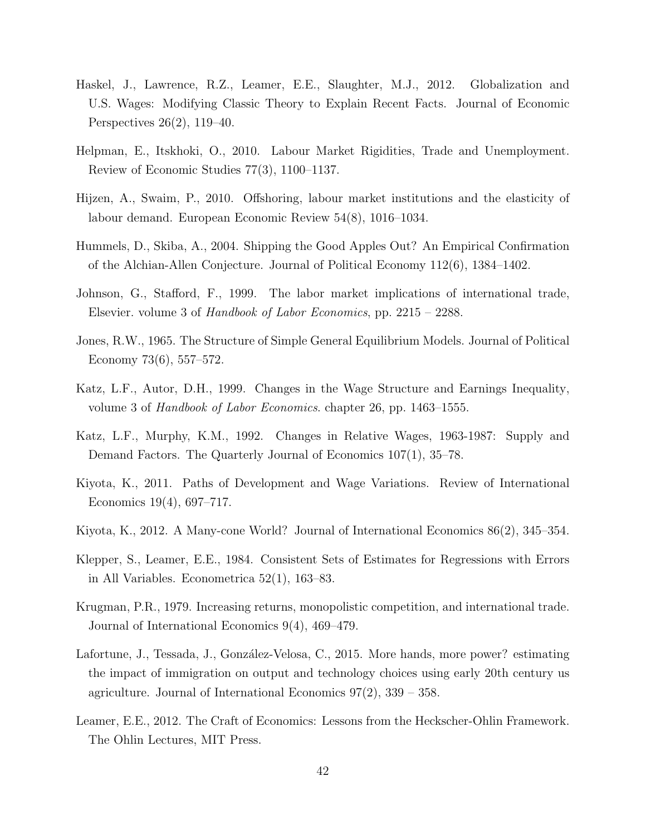- <span id="page-42-11"></span>Haskel, J., Lawrence, R.Z., Leamer, E.E., Slaughter, M.J., 2012. Globalization and U.S. Wages: Modifying Classic Theory to Explain Recent Facts. Journal of Economic Perspectives 26(2), 119–40.
- <span id="page-42-1"></span>Helpman, E., Itskhoki, O., 2010. Labour Market Rigidities, Trade and Unemployment. Review of Economic Studies 77(3), 1100–1137.
- <span id="page-42-10"></span>Hijzen, A., Swaim, P., 2010. Offshoring, labour market institutions and the elasticity of labour demand. European Economic Review 54(8), 1016–1034.
- <span id="page-42-9"></span>Hummels, D., Skiba, A., 2004. Shipping the Good Apples Out? An Empirical Confirmation of the Alchian-Allen Conjecture. Journal of Political Economy 112(6), 1384–1402.
- <span id="page-42-7"></span>Johnson, G., Stafford, F., 1999. The labor market implications of international trade, Elsevier. volume 3 of Handbook of Labor Economics, pp. 2215 – 2288.
- <span id="page-42-12"></span>Jones, R.W., 1965. The Structure of Simple General Equilibrium Models. Journal of Political Economy 73(6), 557–572.
- <span id="page-42-3"></span>Katz, L.F., Autor, D.H., 1999. Changes in the Wage Structure and Earnings Inequality, volume 3 of Handbook of Labor Economics. chapter 26, pp. 1463–1555.
- <span id="page-42-2"></span>Katz, L.F., Murphy, K.M., 1992. Changes in Relative Wages, 1963-1987: Supply and Demand Factors. The Quarterly Journal of Economics 107(1), 35–78.
- <span id="page-42-5"></span>Kiyota, K., 2011. Paths of Development and Wage Variations. Review of International Economics 19(4), 697–717.
- <span id="page-42-6"></span>Kiyota, K., 2012. A Many-cone World? Journal of International Economics 86(2), 345–354.
- <span id="page-42-13"></span>Klepper, S., Leamer, E.E., 1984. Consistent Sets of Estimates for Regressions with Errors in All Variables. Econometrica 52(1), 163–83.
- <span id="page-42-4"></span>Krugman, P.R., 1979. Increasing returns, monopolistic competition, and international trade. Journal of International Economics 9(4), 469–479.
- <span id="page-42-8"></span>Lafortune, J., Tessada, J., González-Velosa, C., 2015. More hands, more power? estimating the impact of immigration on output and technology choices using early 20th century us agriculture. Journal of International Economics 97(2), 339 – 358.
- <span id="page-42-0"></span>Leamer, E.E., 2012. The Craft of Economics: Lessons from the Heckscher-Ohlin Framework. The Ohlin Lectures, MIT Press.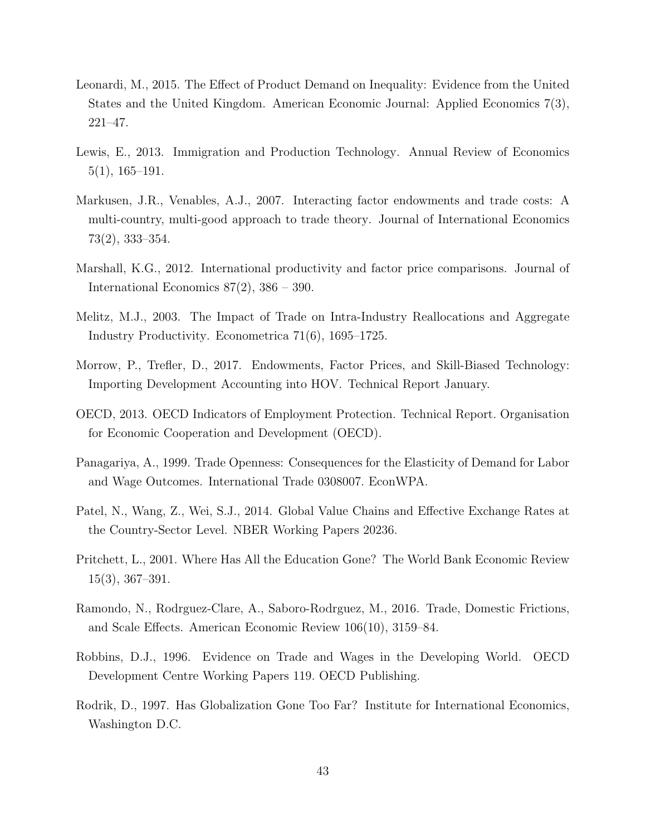- <span id="page-43-11"></span>Leonardi, M., 2015. The Effect of Product Demand on Inequality: Evidence from the United States and the United Kingdom. American Economic Journal: Applied Economics 7(3), 221–47.
- <span id="page-43-6"></span>Lewis, E., 2013. Immigration and Production Technology. Annual Review of Economics 5(1), 165–191.
- <span id="page-43-0"></span>Markusen, J.R., Venables, A.J., 2007. Interacting factor endowments and trade costs: A multi-country, multi-good approach to trade theory. Journal of International Economics 73(2), 333–354.
- <span id="page-43-4"></span>Marshall, K.G., 2012. International productivity and factor price comparisons. Journal of International Economics 87(2), 386 – 390.
- <span id="page-43-2"></span>Melitz, M.J., 2003. The Impact of Trade on Intra-Industry Reallocations and Aggregate Industry Productivity. Econometrica 71(6), 1695–1725.
- <span id="page-43-1"></span>Morrow, P., Trefler, D., 2017. Endowments, Factor Prices, and Skill-Biased Technology: Importing Development Accounting into HOV. Technical Report January.
- <span id="page-43-9"></span>OECD, 2013. OECD Indicators of Employment Protection. Technical Report. Organisation for Economic Cooperation and Development (OECD).
- <span id="page-43-7"></span>Panagariya, A., 1999. Trade Openness: Consequences for the Elasticity of Demand for Labor and Wage Outcomes. International Trade 0308007. EconWPA.
- <span id="page-43-10"></span>Patel, N., Wang, Z., Wei, S.J., 2014. Global Value Chains and Effective Exchange Rates at the Country-Sector Level. NBER Working Papers 20236.
- <span id="page-43-12"></span>Pritchett, L., 2001. Where Has All the Education Gone? The World Bank Economic Review 15(3), 367–391.
- <span id="page-43-8"></span>Ramondo, N., Rodrguez-Clare, A., Saboro-Rodrguez, M., 2016. Trade, Domestic Frictions, and Scale Effects. American Economic Review 106(10), 3159–84.
- <span id="page-43-3"></span>Robbins, D.J., 1996. Evidence on Trade and Wages in the Developing World. OECD Development Centre Working Papers 119. OECD Publishing.
- <span id="page-43-5"></span>Rodrik, D., 1997. Has Globalization Gone Too Far? Institute for International Economics, Washington D.C.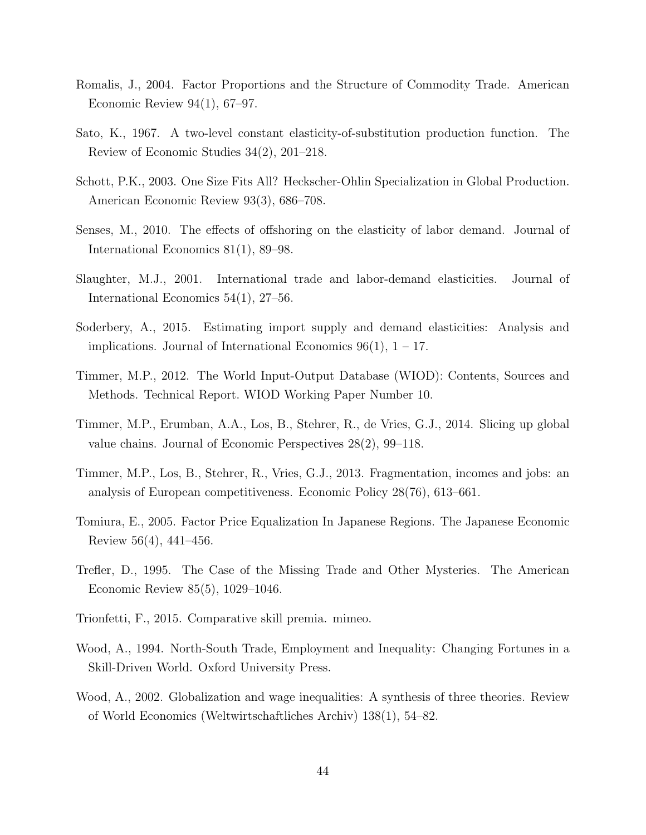- <span id="page-44-3"></span>Romalis, J., 2004. Factor Proportions and the Structure of Commodity Trade. American Economic Review  $94(1)$ , 67–97.
- <span id="page-44-7"></span>Sato, K., 1967. A two-level constant elasticity-of-substitution production function. The Review of Economic Studies 34(2), 201–218.
- <span id="page-44-1"></span>Schott, P.K., 2003. One Size Fits All? Heckscher-Ohlin Specialization in Global Production. American Economic Review 93(3), 686–708.
- <span id="page-44-5"></span>Senses, M., 2010. The effects of offshoring on the elasticity of labor demand. Journal of International Economics 81(1), 89–98.
- <span id="page-44-4"></span>Slaughter, M.J., 2001. International trade and labor-demand elasticities. Journal of International Economics 54(1), 27–56.
- <span id="page-44-11"></span>Soderbery, A., 2015. Estimating import supply and demand elasticities: Analysis and implications. Journal of International Economics  $96(1)$ ,  $1 - 17$ .
- <span id="page-44-9"></span>Timmer, M.P., 2012. The World Input-Output Database (WIOD): Contents, Sources and Methods. Technical Report. WIOD Working Paper Number 10.
- <span id="page-44-10"></span>Timmer, M.P., Erumban, A.A., Los, B., Stehrer, R., de Vries, G.J., 2014. Slicing up global value chains. Journal of Economic Perspectives 28(2), 99–118.
- <span id="page-44-13"></span>Timmer, M.P., Los, B., Stehrer, R., Vries, G.J., 2013. Fragmentation, incomes and jobs: an analysis of European competitiveness. Economic Policy 28(76), 613–661.
- <span id="page-44-2"></span>Tomiura, E., 2005. Factor Price Equalization In Japanese Regions. The Japanese Economic Review 56(4), 441–456.
- <span id="page-44-12"></span>Trefler, D., 1995. The Case of the Missing Trade and Other Mysteries. The American Economic Review 85(5), 1029–1046.
- <span id="page-44-0"></span>Trionfetti, F., 2015. Comparative skill premia. mimeo.
- <span id="page-44-8"></span>Wood, A., 1994. North-South Trade, Employment and Inequality: Changing Fortunes in a Skill-Driven World. Oxford University Press.
- <span id="page-44-6"></span>Wood, A., 2002. Globalization and wage inequalities: A synthesis of three theories. Review of World Economics (Weltwirtschaftliches Archiv) 138(1), 54–82.